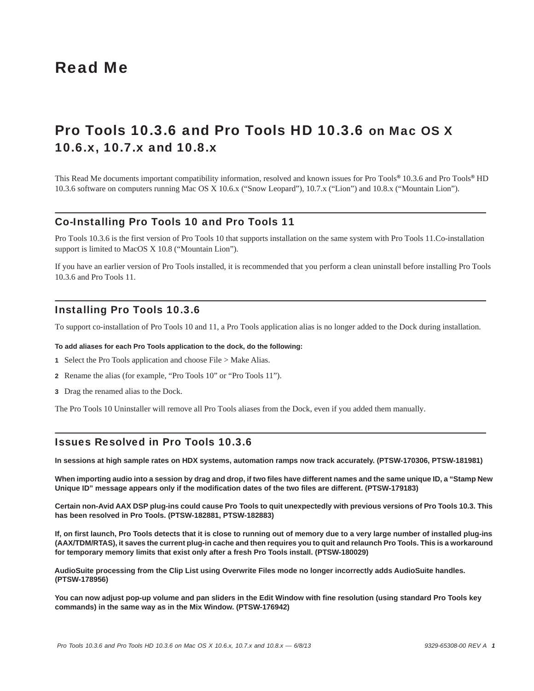# Read Me

# Pro Tools 10.3.6 and Pro Tools HD 10.3.6 on Mac OS X 10.6.x, 10.7.x and 10.8.x

This Read Me documents important compatibility information, resolved and known issues for Pro Tools*®* 10.3.6 and Pro Tools*®* HD 10.3.6 software on computers running Mac OS X 10.6.x ("Snow Leopard"), 10.7.x ("Lion") and 10.8.x ("Mountain Lion").

### Co-Installing Pro Tools 10 and Pro Tools 11

Pro Tools 10.3.6 is the first version of Pro Tools 10 that supports installation on the same system with Pro Tools 11.Co-installation support is limited to MacOS X 10.8 ("Mountain Lion").

If you have an earlier version of Pro Tools installed, it is recommended that you perform a clean uninstall before installing Pro Tools 10.3.6 and Pro Tools 11.

### Installing Pro Tools 10.3.6

To support co-installation of Pro Tools 10 and 11, a Pro Tools application alias is no longer added to the Dock during installation.

#### **To add aliases for each Pro Tools application to the dock, do the following:**

- **1** Select the Pro Tools application and choose File > Make Alias.
- **2** Rename the alias (for example, "Pro Tools 10" or "Pro Tools 11").
- **3** Drag the renamed alias to the Dock.

The Pro Tools 10 Uninstaller will remove all Pro Tools aliases from the Dock, even if you added them manually.

### Issues Resolved in Pro Tools 10.3.6

**In sessions at high sample rates on HDX systems, automation ramps now track accurately. (PTSW-170306, PTSW-181981)**

**When importing audio into a session by drag and drop, if two files have different names and the same unique ID, a "Stamp New Unique ID" message appears only if the modification dates of the two files are different. (PTSW-179183)**

**Certain non-Avid AAX DSP plug-ins could cause Pro Tools to quit unexpectedly with previous versions of Pro Tools 10.3. This has been resolved in Pro Tools. (PTSW-182881, PTSW-182883)**

**If, on first launch, Pro Tools detects that it is close to running out of memory due to a very large number of installed plug-ins (AAX/TDM/RTAS), it saves the current plug-in cache and then requires you to quit and relaunch Pro Tools. This is a workaround for temporary memory limits that exist only after a fresh Pro Tools install. (PTSW-180029)**

**AudioSuite processing from the Clip List using Overwrite Files mode no longer incorrectly adds AudioSuite handles. (PTSW-178956)**

**You can now adjust pop-up volume and pan sliders in the Edit Window with fine resolution (using standard Pro Tools key commands) in the same way as in the Mix Window. (PTSW-176942)**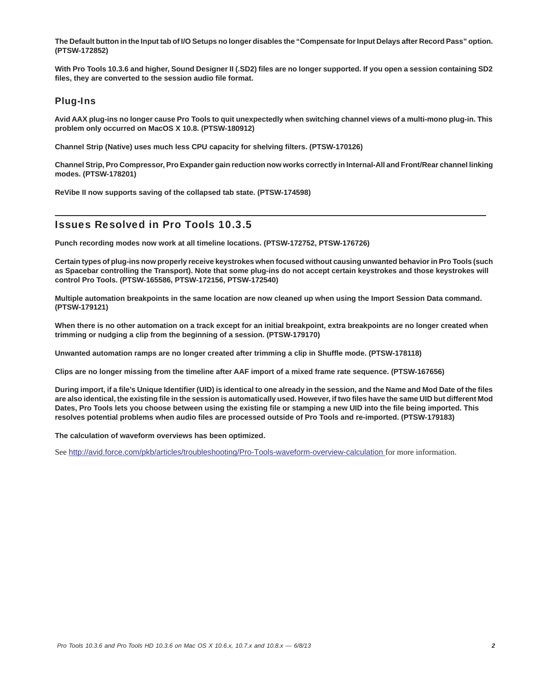**The Default button in the Input tab of I/O Setups no longer disables the "Compensate for Input Delays after Record Pass" option. (PTSW-172852)**

**With Pro Tools 10.3.6 and higher, Sound Designer II (.SD2) files are no longer supported. If you open a session containing SD2 files, they are converted to the session audio file format.**

### Plug-Ins

**Avid AAX plug-ins no longer cause Pro Tools to quit unexpectedly when switching channel views of a multi-mono plug-in. This problem only occurred on MacOS X 10.8. (PTSW-180912)**

**Channel Strip (Native) uses much less CPU capacity for shelving filters. (PTSW-170126)**

**Channel Strip, Pro Compressor, Pro Expander gain reduction now works correctly in Internal-All and Front/Rear channel linking modes. (PTSW-178201)**

**ReVibe II now supports saving of the collapsed tab state. (PTSW-174598)**

### Issues Resolved in Pro Tools 10.3.5

**Punch recording modes now work at all timeline locations. (PTSW-172752, PTSW-176726)**

**Certain types of plug-ins now properly receive keystrokes when focused without causing unwanted behavior in Pro Tools (such as Spacebar controlling the Transport). Note that some plug-ins do not accept certain keystrokes and those keystrokes will control Pro Tools. (PTSW-165586, PTSW-172156, PTSW-172540)**

**Multiple automation breakpoints in the same location are now cleaned up when using the Import Session Data command. (PTSW-179121)**

**When there is no other automation on a track except for an initial breakpoint, extra breakpoints are no longer created when trimming or nudging a clip from the beginning of a session. (PTSW-179170)**

**Unwanted automation ramps are no longer created after trimming a clip in Shuffle mode. (PTSW-178118)**

**Clips are no longer missing from the timeline after AAF import of a mixed frame rate sequence. (PTSW-167656)**

**During import, if a file's Unique Identifier (UID) is identical to one already in the session, and the Name and Mod Date of the files are also identical, the existing file in the session is automatically used. However, if two files have the same UID but different Mod Dates, Pro Tools lets you choose between using the existing file or stamping a new UID into the file being imported. This resolves potential problems when audio files are processed outside of Pro Tools and re-imported. (PTSW-179183)**

**The calculation of waveform overviews has been optimized.**

See <http://avid.force.com/pkb/articles/troubleshooting/Pro-Tools-waveform-overview-calculation>for more information.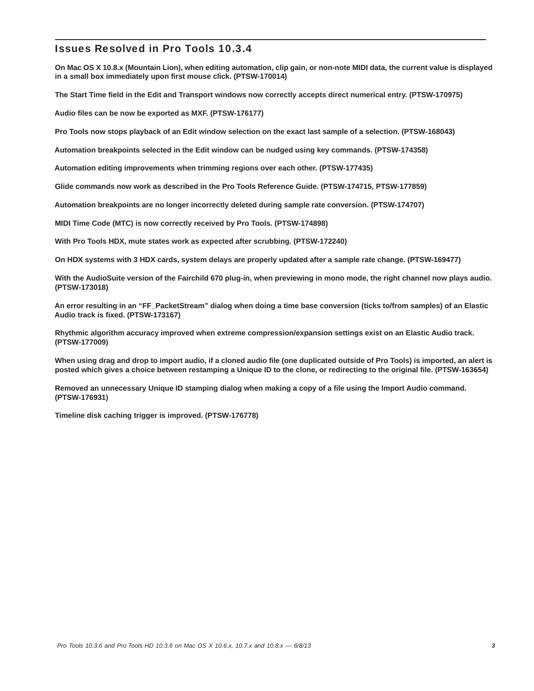### Issues Resolved in Pro Tools 10.3.4

**On Mac OS X 10.8.x (Mountain Lion), when editing automation, clip gain, or non-note MIDI data, the current value is displayed in a small box immediately upon first mouse click. (PTSW-170014)** 

**The Start Time field in the Edit and Transport windows now correctly accepts direct numerical entry. (PTSW-170975)**

**Audio files can be now be exported as MXF. (PTSW-176177)**

**Pro Tools now stops playback of an Edit window selection on the exact last sample of a selection. (PTSW-168043)**

**Automation breakpoints selected in the Edit window can be nudged using key commands. (PTSW-174358)**

**Automation editing improvements when trimming regions over each other. (PTSW-177435)**

**Glide commands now work as described in the Pro Tools Reference Guide. (PTSW-174715, PTSW-177859)**

**Automation breakpoints are no longer incorrectly deleted during sample rate conversion. (PTSW-174707)**

**MIDI Time Code (MTC) is now correctly received by Pro Tools. (PTSW-174898)**

**With Pro Tools HDX, mute states work as expected after scrubbing. (PTSW-172240)**

**On HDX systems with 3 HDX cards, system delays are properly updated after a sample rate change. (PTSW-169477)**

**With the AudioSuite version of the Fairchild 670 plug-in, when previewing in mono mode, the right channel now plays audio. (PTSW-173018)**

**An error resulting in an "FF\_PacketStream" dialog when doing a time base conversion (ticks to/from samples) of an Elastic Audio track is fixed. (PTSW-173167)**

**Rhythmic algorithm accuracy improved when extreme compression/expansion settings exist on an Elastic Audio track. (PTSW-177009)**

**When using drag and drop to import audio, if a cloned audio file (one duplicated outside of Pro Tools) is imported, an alert is posted which gives a choice between restamping a Unique ID to the clone, or redirecting to the original file. (PTSW-163654)**

**Removed an unnecessary Unique ID stamping dialog when making a copy of a file using the Import Audio command. (PTSW-176931)**

**Timeline disk caching trigger is improved. (PTSW-176778)**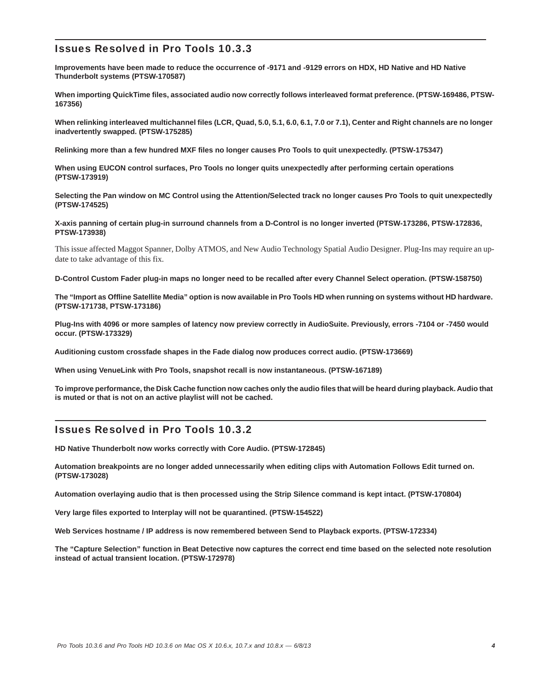# Issues Resolved in Pro Tools 10.3.3

**Improvements have been made to reduce the occurrence of -9171 and -9129 errors on HDX, HD Native and HD Native Thunderbolt systems (PTSW-170587)**

**When importing QuickTime files, associated audio now correctly follows interleaved format preference. (PTSW-169486, PTSW-167356)**

**When relinking interleaved multichannel files (LCR, Quad, 5.0, 5.1, 6.0, 6.1, 7.0 or 7.1), Center and Right channels are no longer inadvertently swapped. (PTSW-175285)**

**Relinking more than a few hundred MXF files no longer causes Pro Tools to quit unexpectedly. (PTSW-175347)**

**When using EUCON control surfaces, Pro Tools no longer quits unexpectedly after performing certain operations (PTSW-173919)**

**Selecting the Pan window on MC Control using the Attention/Selected track no longer causes Pro Tools to quit unexpectedly (PTSW-174525)**

**X-axis panning of certain plug-in surround channels from a D-Control is no longer inverted (PTSW-173286, PTSW-172836, PTSW-173938)**

This issue affected Maggot Spanner, Dolby ATMOS, and New Audio Technology Spatial Audio Designer. Plug-Ins may require an update to take advantage of this fix.

**D-Control Custom Fader plug-in maps no longer need to be recalled after every Channel Select operation. (PTSW-158750)**

**The "Import as Offline Satellite Media" option is now available in Pro Tools HD when running on systems without HD hardware. (PTSW-171738, PTSW-173186)**

**Plug-Ins with 4096 or more samples of latency now preview correctly in AudioSuite. Previously, errors -7104 or -7450 would occur. (PTSW-173329)**

**Auditioning custom crossfade shapes in the Fade dialog now produces correct audio. (PTSW-173669)**

**When using VenueLink with Pro Tools, snapshot recall is now instantaneous. (PTSW-167189)**

**To improve performance, the Disk Cache function now caches only the audio files that will be heard during playback. Audio that is muted or that is not on an active playlist will not be cached.**

### Issues Resolved in Pro Tools 10.3.2

**HD Native Thunderbolt now works correctly with Core Audio. (PTSW-172845)**

**Automation breakpoints are no longer added unnecessarily when editing clips with Automation Follows Edit turned on. (PTSW-173028)**

**Automation overlaying audio that is then processed using the Strip Silence command is kept intact. (PTSW-170804)**

**Very large files exported to Interplay will not be quarantined. (PTSW-154522)**

**Web Services hostname / IP address is now remembered between Send to Playback exports. (PTSW-172334)**

**The "Capture Selection" function in Beat Detective now captures the correct end time based on the selected note resolution instead of actual transient location. (PTSW-172978)**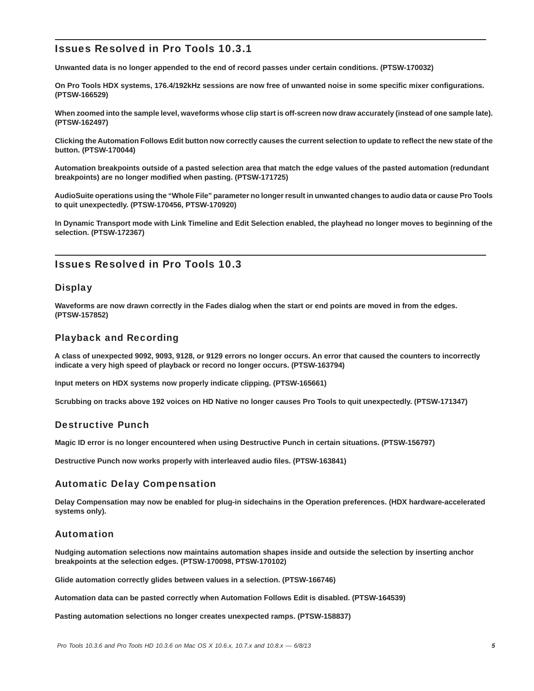# Issues Resolved in Pro Tools 10.3.1

**Unwanted data is no longer appended to the end of record passes under certain conditions. (PTSW-170032)**

**On Pro Tools HDX systems, 176.4/192kHz sessions are now free of unwanted noise in some specific mixer configurations. (PTSW-166529)**

**When zoomed into the sample level, waveforms whose clip start is off-screen now draw accurately (instead of one sample late). (PTSW-162497)**

**Clicking the Automation Follows Edit button now correctly causes the current selection to update to reflect the new state of the button. (PTSW-170044)**

**Automation breakpoints outside of a pasted selection area that match the edge values of the pasted automation (redundant breakpoints) are no longer modified when pasting. (PTSW-171725)**

**AudioSuite operations using the "Whole File" parameter no longer result in unwanted changes to audio data or cause Pro Tools to quit unexpectedly. (PTSW-170456, PTSW-170920)**

**In Dynamic Transport mode with Link Timeline and Edit Selection enabled, the playhead no longer moves to beginning of the selection. (PTSW-172367)**

## Issues Resolved in Pro Tools 10.3

### **Display**

**Waveforms are now drawn correctly in the Fades dialog when the start or end points are moved in from the edges. (PTSW-157852)**

### Playback and Recording

**A class of unexpected 9092, 9093, 9128, or 9129 errors no longer occurs. An error that caused the counters to incorrectly indicate a very high speed of playback or record no longer occurs. (PTSW-163794)**

**Input meters on HDX systems now properly indicate clipping. (PTSW-165661)**

**Scrubbing on tracks above 192 voices on HD Native no longer causes Pro Tools to quit unexpectedly. (PTSW-171347)**

### Destructive Punch

**Magic ID error is no longer encountered when using Destructive Punch in certain situations. (PTSW-156797)**

**Destructive Punch now works properly with interleaved audio files. (PTSW-163841)**

### Automatic Delay Compensation

**Delay Compensation may now be enabled for plug-in sidechains in the Operation preferences. (HDX hardware-accelerated systems only).**

### Automation

**Nudging automation selections now maintains automation shapes inside and outside the selection by inserting anchor breakpoints at the selection edges. (PTSW-170098, PTSW-170102)**

**Glide automation correctly glides between values in a selection. (PTSW-166746)**

**Automation data can be pasted correctly when Automation Follows Edit is disabled. (PTSW-164539)**

**Pasting automation selections no longer creates unexpected ramps. (PTSW-158837)**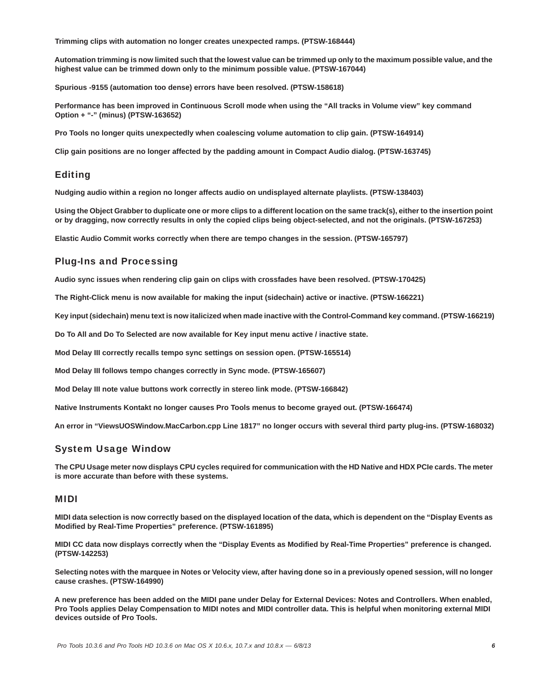**Trimming clips with automation no longer creates unexpected ramps. (PTSW-168444)**

**Automation trimming is now limited such that the lowest value can be trimmed up only to the maximum possible value, and the highest value can be trimmed down only to the minimum possible value. (PTSW-167044)**

**Spurious -9155 (automation too dense) errors have been resolved. (PTSW-158618)**

**Performance has been improved in Continuous Scroll mode when using the "All tracks in Volume view" key command Option + "-" (minus) (PTSW-163652)**

**Pro Tools no longer quits unexpectedly when coalescing volume automation to clip gain. (PTSW-164914)**

**Clip gain positions are no longer affected by the padding amount in Compact Audio dialog. (PTSW-163745)**

### Editing

**Nudging audio within a region no longer affects audio on undisplayed alternate playlists. (PTSW-138403)**

**Using the Object Grabber to duplicate one or more clips to a different location on the same track(s), either to the insertion point or by dragging, now correctly results in only the copied clips being object-selected, and not the originals. (PTSW-167253)**

**Elastic Audio Commit works correctly when there are tempo changes in the session. (PTSW-165797)**

### Plug-Ins and Processing

**Audio sync issues when rendering clip gain on clips with crossfades have been resolved. (PTSW-170425)**

**The Right-Click menu is now available for making the input (sidechain) active or inactive. (PTSW-166221)**

**Key input (sidechain) menu text is now italicized when made inactive with the Control-Command key command. (PTSW-166219)**

**Do To All and Do To Selected are now available for Key input menu active / inactive state.**

**Mod Delay III correctly recalls tempo sync settings on session open. (PTSW-165514)**

**Mod Delay III follows tempo changes correctly in Sync mode. (PTSW-165607)**

**Mod Delay III note value buttons work correctly in stereo link mode. (PTSW-166842)**

**Native Instruments Kontakt no longer causes Pro Tools menus to become grayed out. (PTSW-166474)**

**An error in "ViewsUOSWindow.MacCarbon.cpp Line 1817" no longer occurs with several third party plug-ins. (PTSW-168032)**

### System Usage Window

**The CPU Usage meter now displays CPU cycles required for communication with the HD Native and HDX PCIe cards. The meter is more accurate than before with these systems.** 

#### MIDI

**MIDI data selection is now correctly based on the displayed location of the data, which is dependent on the "Display Events as Modified by Real-Time Properties" preference. (PTSW-161895)**

**MIDI CC data now displays correctly when the "Display Events as Modified by Real-Time Properties" preference is changed. (PTSW-142253)**

**Selecting notes with the marquee in Notes or Velocity view, after having done so in a previously opened session, will no longer cause crashes. (PTSW-164990)**

**A new preference has been added on the MIDI pane under Delay for External Devices: Notes and Controllers. When enabled, Pro Tools applies Delay Compensation to MIDI notes and MIDI controller data. This is helpful when monitoring external MIDI devices outside of Pro Tools.**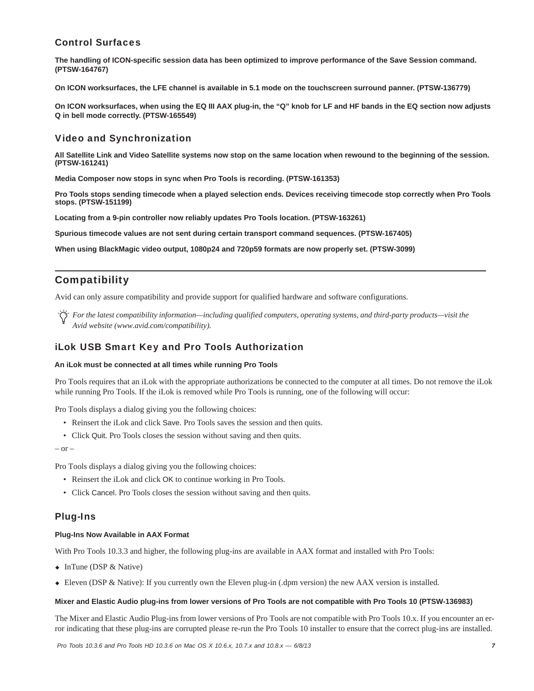### Control Surfaces

**The handling of ICON-specific session data has been optimized to improve performance of the Save Session command. (PTSW-164767)**

**On ICON worksurfaces, the LFE channel is available in 5.1 mode on the touchscreen surround panner. (PTSW-136779)**

**On ICON worksurfaces, when using the EQ III AAX plug-in, the "Q" knob for LF and HF bands in the EQ section now adjusts Q in bell mode correctly. (PTSW-165549)**

### Video and Synchronization

**All Satellite Link and Video Satellite systems now stop on the same location when rewound to the beginning of the session. (PTSW-161241)**

**Media Composer now stops in sync when Pro Tools is recording. (PTSW-161353)**

**Pro Tools stops sending timecode when a played selection ends. Devices receiving timecode stop correctly when Pro Tools stops. (PTSW-151199)**

**Locating from a 9-pin controller now reliably updates Pro Tools location. (PTSW-163261)**

**Spurious timecode values are not sent during certain transport command sequences. (PTSW-167405)**

**When using BlackMagic video output, 1080p24 and 720p59 formats are now properly set. (PTSW-3099)**

# Compatibility

Avid can only assure compatibility and provide support for qualified hardware and software configurations.

*For the latest compatibility information—including qualified computers, operating systems, and third-party products—visit the Avid website (www.avid.com/compatibility).*

### iLok USB Smart Key and Pro Tools Authorization

#### **An iLok must be connected at all times while running Pro Tools**

Pro Tools requires that an iLok with the appropriate authorizations be connected to the computer at all times. Do not remove the iLok while running Pro Tools. If the iLok is removed while Pro Tools is running, one of the following will occur:

Pro Tools displays a dialog giving you the following choices:

- Reinsert the iLok and click Save. Pro Tools saves the session and then quits.
- Click Quit. Pro Tools closes the session without saving and then quits.

 $-$  or  $-$ 

Pro Tools displays a dialog giving you the following choices:

- Reinsert the iLok and click OK to continue working in Pro Tools.
- Click Cancel. Pro Tools closes the session without saving and then quits.

### Plug-Ins

#### **Plug-Ins Now Available in AAX Format**

With Pro Tools 10.3.3 and higher, the following plug-ins are available in AAX format and installed with Pro Tools:

- $\bullet$  InTune (DSP & Native)
- Eleven (DSP & Native): If you currently own the Eleven plug-in (.dpm version) the new AAX version is installed.

#### **Mixer and Elastic Audio plug-ins from lower versions of Pro Tools are not compatible with Pro Tools 10 (PTSW-136983)**

The Mixer and Elastic Audio Plug-ins from lower versions of Pro Tools are not compatible with Pro Tools 10.x. If you encounter an error indicating that these plug-ins are corrupted please re-run the Pro Tools 10 installer to ensure that the correct plug-ins are installed.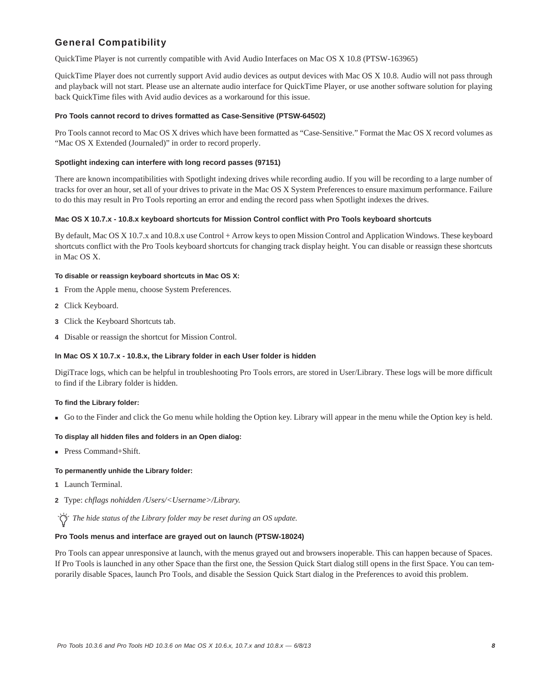# General Compatibility

QuickTime Player is not currently compatible with Avid Audio Interfaces on Mac OS X 10.8 (PTSW-163965)

QuickTime Player does not currently support Avid audio devices as output devices with Mac OS X 10.8. Audio will not pass through and playback will not start. Please use an alternate audio interface for QuickTime Player, or use another software solution for playing back QuickTime files with Avid audio devices as a workaround for this issue.

#### **Pro Tools cannot record to drives formatted as Case-Sensitive (PTSW-64502)**

Pro Tools cannot record to Mac OS X drives which have been formatted as "Case-Sensitive." Format the Mac OS X record volumes as "Mac OS X Extended (Journaled)" in order to record properly.

#### **Spotlight indexing can interfere with long record passes (97151)**

There are known incompatibilities with Spotlight indexing drives while recording audio. If you will be recording to a large number of tracks for over an hour, set all of your drives to private in the Mac OS X System Preferences to ensure maximum performance. Failure to do this may result in Pro Tools reporting an error and ending the record pass when Spotlight indexes the drives.

#### **Mac OS X 10.7.x - 10.8.x keyboard shortcuts for Mission Control conflict with Pro Tools keyboard shortcuts**

By default, Mac OS X 10.7.x and 10.8.x use Control + Arrow keys to open Mission Control and Application Windows. These keyboard shortcuts conflict with the Pro Tools keyboard shortcuts for changing track display height. You can disable or reassign these shortcuts in Mac OS X.

#### **To disable or reassign keyboard shortcuts in Mac OS X:**

- **1** From the Apple menu, choose System Preferences.
- **2** Click Keyboard.
- **3** Click the Keyboard Shortcuts tab.
- **4** Disable or reassign the shortcut for Mission Control.

#### **In Mac OS X 10.7.x - 10.8.x, the Library folder in each User folder is hidden**

DigiTrace logs, which can be helpful in troubleshooting Pro Tools errors, are stored in User/Library. These logs will be more difficult to find if the Library folder is hidden.

#### **To find the Library folder:**

Go to the Finder and click the Go menu while holding the Option key. Library will appear in the menu while the Option key is held.

#### **To display all hidden files and folders in an Open dialog:**

■ Press Command+Shift.

#### **To permanently unhide the Library folder:**

- **1** Launch Terminal.
- **2** Type: *chflags nohidden /Users/<Username>/Library.*

*The hide status of the Library folder may be reset during an OS update.*

#### **Pro Tools menus and interface are grayed out on launch (PTSW-18024)**

Pro Tools can appear unresponsive at launch, with the menus grayed out and browsers inoperable. This can happen because of Spaces. If Pro Tools is launched in any other Space than the first one, the Session Quick Start dialog still opens in the first Space. You can temporarily disable Spaces, launch Pro Tools, and disable the Session Quick Start dialog in the Preferences to avoid this problem.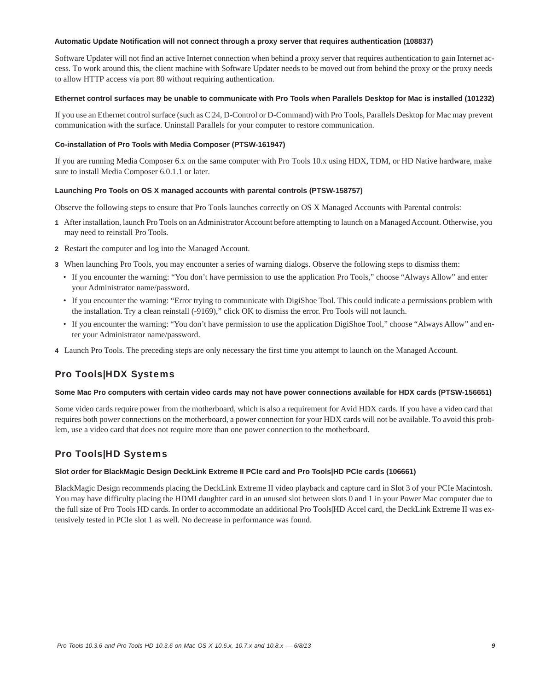#### **Automatic Update Notification will not connect through a proxy server that requires authentication (108837)**

Software Updater will not find an active Internet connection when behind a proxy server that requires authentication to gain Internet access. To work around this, the client machine with Software Updater needs to be moved out from behind the proxy or the proxy needs to allow HTTP access via port 80 without requiring authentication.

#### **Ethernet control surfaces may be unable to communicate with Pro Tools when Parallels Desktop for Mac is installed (101232)**

If you use an Ethernet control surface (such as C|24, D-Control or D-Command) with Pro Tools, Parallels Desktop for Mac may prevent communication with the surface. Uninstall Parallels for your computer to restore communication.

#### **Co-installation of Pro Tools with Media Composer (PTSW-161947)**

If you are running Media Composer 6.x on the same computer with Pro Tools 10.x using HDX, TDM, or HD Native hardware, make sure to install Media Composer 6.0.1.1 or later.

#### **Launching Pro Tools on OS X managed accounts with parental controls (PTSW-158757)**

Observe the following steps to ensure that Pro Tools launches correctly on OS X Managed Accounts with Parental controls:

- **1** After installation, launch Pro Tools on an Administrator Account before attempting to launch on a Managed Account. Otherwise, you may need to reinstall Pro Tools.
- **2** Restart the computer and log into the Managed Account.
- **3** When launching Pro Tools, you may encounter a series of warning dialogs. Observe the following steps to dismiss them:
	- If you encounter the warning: "You don't have permission to use the application Pro Tools," choose "Always Allow" and enter your Administrator name/password.
	- If you encounter the warning: "Error trying to communicate with DigiShoe Tool. This could indicate a permissions problem with the installation. Try a clean reinstall (-9169)," click OK to dismiss the error. Pro Tools will not launch.
	- If you encounter the warning: "You don't have permission to use the application DigiShoe Tool," choose "Always Allow" and enter your Administrator name/password.
- **4** Launch Pro Tools. The preceding steps are only necessary the first time you attempt to launch on the Managed Account.

### Pro Tools|HDX Systems

#### **Some Mac Pro computers with certain video cards may not have power connections available for HDX cards (PTSW-156651)**

Some video cards require power from the motherboard, which is also a requirement for Avid HDX cards. If you have a video card that requires both power connections on the motherboard, a power connection for your HDX cards will not be available. To avoid this problem, use a video card that does not require more than one power connection to the motherboard.

# Pro Tools|HD Systems

#### **Slot order for BlackMagic Design DeckLink Extreme II PCIe card and Pro Tools|HD PCIe cards (106661)**

BlackMagic Design recommends placing the DeckLink Extreme II video playback and capture card in Slot 3 of your PCIe Macintosh. You may have difficulty placing the HDMI daughter card in an unused slot between slots 0 and 1 in your Power Mac computer due to the full size of Pro Tools HD cards. In order to accommodate an additional Pro Tools|HD Accel card, the DeckLink Extreme II was extensively tested in PCIe slot 1 as well. No decrease in performance was found.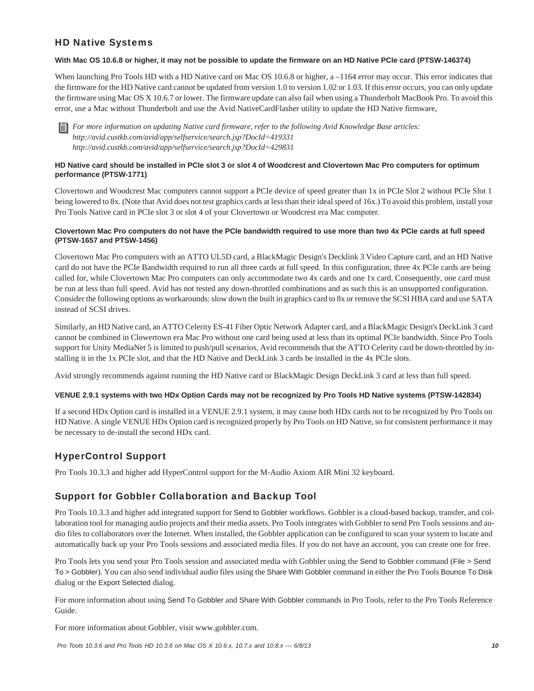# HD Native Systems

#### **With Mac OS 10.6.8 or higher, it may not be possible to update the firmware on an HD Native PCIe card (PTSW-146374)**

When launching Pro Tools HD with a HD Native card on Mac OS 10.6.8 or higher, a –1164 error may occur. This error indicates that the firmware for the HD Native card cannot be updated from version 1.0 to version 1.02 or 1.03. If this error occurs, you can only update the firmware using Mac OS X 10.6.7 or lower. The firmware update can also fail when using a Thunderbolt MacBook Pro. To avoid this error, use a Mac without Thunderbolt and use the Avid NativeCardFlasher utility to update the HD Native firmware,

*For more information on updating Native card firmware, refer to the following Avid Knowledge Base articles: http://avid.custkb.com/avid/app/selfservice/search.jsp?DocId=419331 http://avid.custkb.com/avid/app/selfservice/search.jsp?DocId=429831*

### **HD Native card should be installed in PCIe slot 3 or slot 4 of Woodcrest and Clovertown Mac Pro computers for optimum performance (PTSW-1771)**

Clovertown and Woodcrest Mac computers cannot support a PCIe device of speed greater than 1x in PCIe Slot 2 without PCIe Slot 1 being lowered to 8x. (Note that Avid does not test graphics cards at less than their ideal speed of 16x.) To avoid this problem, install your Pro Tools Native card in PCIe slot 3 or slot 4 of your Clovertown or Woodcrest era Mac computer.

### **Clovertown Mac Pro computers do not have the PCIe bandwidth required to use more than two 4x PCIe cards at full speed (PTSW-1657 and PTSW-1456)**

Clovertown Mac Pro computers with an ATTO UL5D card, a BlackMagic Design's Decklink 3 Video Capture card, and an HD Native card do not have the PCIe Bandwidth required to run all three cards at full speed. In this configuration, three 4x PCIe cards are being called for, while Clovertown Mac Pro computers can only accommodate two 4x cards and one 1x card. Consequently, one card must be run at less than full speed. Avid has not tested any down-throttled combinations and as such this is an unsupported configuration. Consider the following options as workarounds: slow down the built in graphics card to 8x or remove the SCSI HBA card and use SATA instead of SCSI drives.

Similarly, an HD Native card, an ATTO Celerity ES-41 Fiber Optic Network Adapter card, and a BlackMagic Design's DeckLink 3 card cannot be combined in Clowertown era Mac Pro without one card being used at less than its optimal PCIe bandwidth. Since Pro Tools support for Unity MediaNet 5 is limited to push/pull scenarios, Avid recommends that the ATTO Celerity card be down-throttled by installing it in the 1x PCIe slot, and that the HD Native and DeckLink 3 cards be installed in the 4x PCIe slots.

Avid strongly recommends against running the HD Native card or BlackMagic Design DeckLink 3 card at less than full speed.

#### **VENUE 2.9.1 systems with two HDx Option Cards may not be recognized by Pro Tools HD Native systems (PTSW-142834)**

If a second HDx Option card is installed in a VENUE 2.9.1 system, it may cause both HDx cards not to be recognized by Pro Tools on HD Native. A single VENUE HDx Option card is recognized properly by Pro Tools on HD Native, so for consistent performance it may be necessary to de-install the second HDx card.

# HyperControl Support

Pro Tools 10.3.3 and higher add HyperControl support for the M-Audio Axiom AIR Mini 32 keyboard.

# Support for Gobbler Collaboration and Backup Tool

Pro Tools 10.3.3 and higher add integrated support for Send to Gobbler workflows. Gobbler is a cloud-based backup, transfer, and collaboration tool for managing audio projects and their media assets. Pro Tools integrates with Gobbler to send Pro Tools sessions and audio files to collaborators over the Internet. When installed, the Gobbler application can be configured to scan your system to locate and automatically back up your Pro Tools sessions and associated media files. If you do not have an account, you can create one for free.

Pro Tools lets you send your Pro Tools session and associated media with Gobbler using the Send to Gobbler command (File > Send To > Gobbler). You can also send individual audio files using the Share With Gobbler command in either the Pro Tools Bounce To Disk dialog or the Export Selected dialog.

For more information about using Send To Gobbler and Share With Gobbler commands in Pro Tools, refer to the Pro Tools Reference Guide.

For more information about Gobbler, visit www.gobbler.com.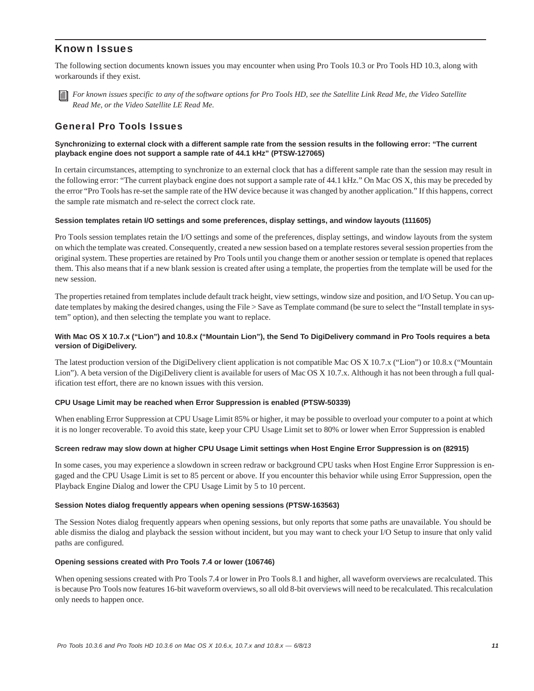### Known Issues

The following section documents known issues you may encounter when using Pro Tools 10.3 or Pro Tools HD 10.3, along with workarounds if they exist.



*For known issues specific to any of the software options for Pro Tools HD, see the Satellite Link Read Me, the Video Satellite Read Me, or the Video Satellite LE Read Me.*

### General Pro Tools Issues

#### **Synchronizing to external clock with a different sample rate from the session results in the following error: "The current playback engine does not support a sample rate of 44.1 kHz" (PTSW-127065)**

In certain circumstances, attempting to synchronize to an external clock that has a different sample rate than the session may result in the following error: "The current playback engine does not support a sample rate of 44.1 kHz." On Mac OS X, this may be preceded by the error "Pro Tools has re-set the sample rate of the HW device because it was changed by another application." If this happens, correct the sample rate mismatch and re-select the correct clock rate.

#### **Session templates retain I/O settings and some preferences, display settings, and window layouts (111605)**

Pro Tools session templates retain the I/O settings and some of the preferences, display settings, and window layouts from the system on which the template was created. Consequently, created a new session based on a template restores several session properties from the original system. These properties are retained by Pro Tools until you change them or another session or template is opened that replaces them. This also means that if a new blank session is created after using a template, the properties from the template will be used for the new session.

The properties retained from templates include default track height, view settings, window size and position, and I/O Setup. You can update templates by making the desired changes, using the File > Save as Template command (be sure to select the "Install template in system" option), and then selecting the template you want to replace.

#### **With Mac OS X 10.7.x ("Lion") and 10.8.x ("Mountain Lion"), the Send To DigiDelivery command in Pro Tools requires a beta version of DigiDelivery.**

The latest production version of the DigiDelivery client application is not compatible Mac OS X 10.7.x ("Lion") or 10.8.x ("Mountain Lion"). A beta version of the DigiDelivery client is available for users of Mac OS X 10.7.x. Although it has not been through a full qualification test effort, there are no known issues with this version.

#### **CPU Usage Limit may be reached when Error Suppression is enabled (PTSW-50339)**

When enabling Error Suppression at CPU Usage Limit 85% or higher, it may be possible to overload your computer to a point at which it is no longer recoverable. To avoid this state, keep your CPU Usage Limit set to 80% or lower when Error Suppression is enabled

#### **Screen redraw may slow down at higher CPU Usage Limit settings when Host Engine Error Suppression is on (82915)**

In some cases, you may experience a slowdown in screen redraw or background CPU tasks when Host Engine Error Suppression is engaged and the CPU Usage Limit is set to 85 percent or above. If you encounter this behavior while using Error Suppression, open the Playback Engine Dialog and lower the CPU Usage Limit by 5 to 10 percent.

#### **Session Notes dialog frequently appears when opening sessions (PTSW-163563)**

The Session Notes dialog frequently appears when opening sessions, but only reports that some paths are unavailable. You should be able dismiss the dialog and playback the session without incident, but you may want to check your I/O Setup to insure that only valid paths are configured.

#### **Opening sessions created with Pro Tools 7.4 or lower (106746)**

When opening sessions created with Pro Tools 7.4 or lower in Pro Tools 8.1 and higher, all waveform overviews are recalculated. This is because Pro Tools now features 16-bit waveform overviews, so all old 8-bit overviews will need to be recalculated. This recalculation only needs to happen once.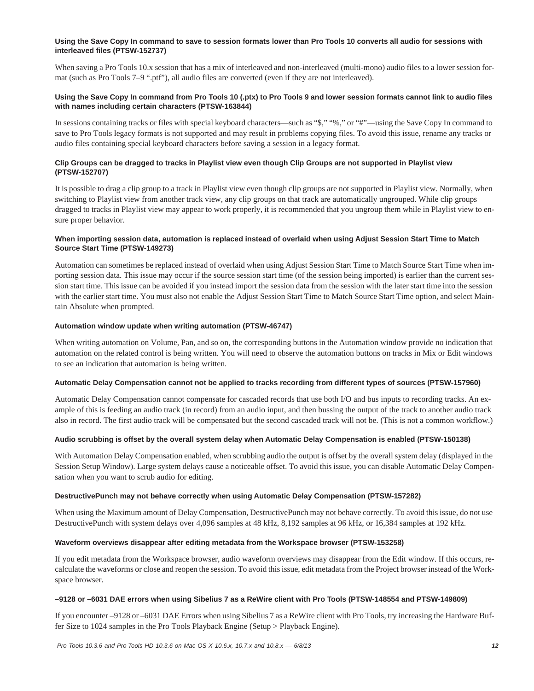#### **Using the Save Copy In command to save to session formats lower than Pro Tools 10 converts all audio for sessions with interleaved files (PTSW-152737)**

When saving a Pro Tools 10.x session that has a mix of interleaved and non-interleaved (multi-mono) audio files to a lower session format (such as Pro Tools 7–9 ".ptf"), all audio files are converted (even if they are not interleaved).

#### **Using the Save Copy In command from Pro Tools 10 (.ptx) to Pro Tools 9 and lower session formats cannot link to audio files with names including certain characters (PTSW-163844)**

In sessions containing tracks or files with special keyboard characters—such as "\$," "%," or "#"—using the Save Copy In command to save to Pro Tools legacy formats is not supported and may result in problems copying files. To avoid this issue, rename any tracks or audio files containing special keyboard characters before saving a session in a legacy format.

#### **Clip Groups can be dragged to tracks in Playlist view even though Clip Groups are not supported in Playlist view (PTSW-152707)**

It is possible to drag a clip group to a track in Playlist view even though clip groups are not supported in Playlist view. Normally, when switching to Playlist view from another track view, any clip groups on that track are automatically ungrouped. While clip groups dragged to tracks in Playlist view may appear to work properly, it is recommended that you ungroup them while in Playlist view to ensure proper behavior.

#### **When importing session data, automation is replaced instead of overlaid when using Adjust Session Start Time to Match Source Start Time (PTSW-149273)**

Automation can sometimes be replaced instead of overlaid when using Adjust Session Start Time to Match Source Start Time when importing session data. This issue may occur if the source session start time (of the session being imported) is earlier than the current session start time. This issue can be avoided if you instead import the session data from the session with the later start time into the session with the earlier start time. You must also not enable the Adjust Session Start Time to Match Source Start Time option, and select Maintain Absolute when prompted.

#### **Automation window update when writing automation (PTSW-46747)**

When writing automation on Volume, Pan, and so on, the corresponding buttons in the Automation window provide no indication that automation on the related control is being written. You will need to observe the automation buttons on tracks in Mix or Edit windows to see an indication that automation is being written.

#### **Automatic Delay Compensation cannot not be applied to tracks recording from different types of sources (PTSW-157960)**

Automatic Delay Compensation cannot compensate for cascaded records that use both I/O and bus inputs to recording tracks. An example of this is feeding an audio track (in record) from an audio input, and then bussing the output of the track to another audio track also in record. The first audio track will be compensated but the second cascaded track will not be. (This is not a common workflow.)

#### **Audio scrubbing is offset by the overall system delay when Automatic Delay Compensation is enabled (PTSW-150138)**

With Automation Delay Compensation enabled, when scrubbing audio the output is offset by the overall system delay (displayed in the Session Setup Window). Large system delays cause a noticeable offset. To avoid this issue, you can disable Automatic Delay Compensation when you want to scrub audio for editing.

#### **DestructivePunch may not behave correctly when using Automatic Delay Compensation (PTSW-157282)**

When using the Maximum amount of Delay Compensation, DestructivePunch may not behave correctly. To avoid this issue, do not use DestructivePunch with system delays over 4,096 samples at 48 kHz, 8,192 samples at 96 kHz, or 16,384 samples at 192 kHz.

#### **Waveform overviews disappear after editing metadata from the Workspace browser (PTSW-153258)**

If you edit metadata from the Workspace browser, audio waveform overviews may disappear from the Edit window. If this occurs, recalculate the waveforms or close and reopen the session. To avoid this issue, edit metadata from the Project browser instead of the Workspace browser.

#### **–9128 or –6031 DAE errors when using Sibelius 7 as a ReWire client with Pro Tools (PTSW-148554 and PTSW-149809)**

If you encounter –9128 or –6031 DAE Errors when using Sibelius 7 as a ReWire client with Pro Tools, try increasing the Hardware Buffer Size to 1024 samples in the Pro Tools Playback Engine (Setup > Playback Engine).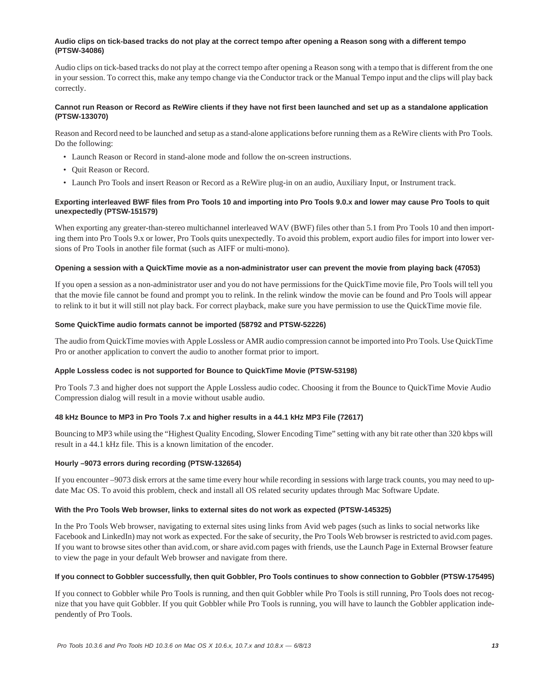#### **Audio clips on tick-based tracks do not play at the correct tempo after opening a Reason song with a different tempo (PTSW-34086)**

Audio clips on tick-based tracks do not play at the correct tempo after opening a Reason song with a tempo that is different from the one in your session. To correct this, make any tempo change via the Conductor track or the Manual Tempo input and the clips will play back correctly.

#### **Cannot run Reason or Record as ReWire clients if they have not first been launched and set up as a standalone application (PTSW-133070)**

Reason and Record need to be launched and setup as a stand-alone applications before running them as a ReWire clients with Pro Tools. Do the following:

- Launch Reason or Record in stand-alone mode and follow the on-screen instructions.
- Quit Reason or Record.
- Launch Pro Tools and insert Reason or Record as a ReWire plug-in on an audio, Auxiliary Input, or Instrument track.

### **Exporting interleaved BWF files from Pro Tools 10 and importing into Pro Tools 9.0.x and lower may cause Pro Tools to quit unexpectedly (PTSW-151579)**

When exporting any greater-than-stereo multichannel interleaved WAV (BWF) files other than 5.1 from Pro Tools 10 and then importing them into Pro Tools 9.x or lower, Pro Tools quits unexpectedly. To avoid this problem, export audio files for import into lower versions of Pro Tools in another file format (such as AIFF or multi-mono).

#### **Opening a session with a QuickTime movie as a non-administrator user can prevent the movie from playing back (47053)**

If you open a session as a non-administrator user and you do not have permissions for the QuickTime movie file, Pro Tools will tell you that the movie file cannot be found and prompt you to relink. In the relink window the movie can be found and Pro Tools will appear to relink to it but it will still not play back. For correct playback, make sure you have permission to use the QuickTime movie file.

#### **Some QuickTime audio formats cannot be imported (58792 and PTSW-52226)**

The audio from QuickTime movies with Apple Lossless or AMR audio compression cannot be imported into Pro Tools. Use QuickTime Pro or another application to convert the audio to another format prior to import.

#### **Apple Lossless codec is not supported for Bounce to QuickTime Movie (PTSW-53198)**

Pro Tools 7.3 and higher does not support the Apple Lossless audio codec. Choosing it from the Bounce to QuickTime Movie Audio Compression dialog will result in a movie without usable audio.

#### **48 kHz Bounce to MP3 in Pro Tools 7.x and higher results in a 44.1 kHz MP3 File (72617)**

Bouncing to MP3 while using the "Highest Quality Encoding, Slower Encoding Time" setting with any bit rate other than 320 kbps will result in a 44.1 kHz file. This is a known limitation of the encoder.

#### **Hourly –9073 errors during recording (PTSW-132654)**

If you encounter –9073 disk errors at the same time every hour while recording in sessions with large track counts, you may need to update Mac OS. To avoid this problem, check and install all OS related security updates through Mac Software Update.

#### **With the Pro Tools Web browser, links to external sites do not work as expected (PTSW-145325)**

In the Pro Tools Web browser, navigating to external sites using links from Avid web pages (such as links to social networks like Facebook and LinkedIn) may not work as expected. For the sake of security, the Pro Tools Web browser is restricted to avid.com pages. If you want to browse sites other than avid.com, or share avid.com pages with friends, use the Launch Page in External Browser feature to view the page in your default Web browser and navigate from there.

#### **If you connect to Gobbler successfully, then quit Gobbler, Pro Tools continues to show connection to Gobbler (PTSW-175495)**

If you connect to Gobbler while Pro Tools is running, and then quit Gobbler while Pro Tools is still running, Pro Tools does not recognize that you have quit Gobbler. If you quit Gobbler while Pro Tools is running, you will have to launch the Gobbler application independently of Pro Tools.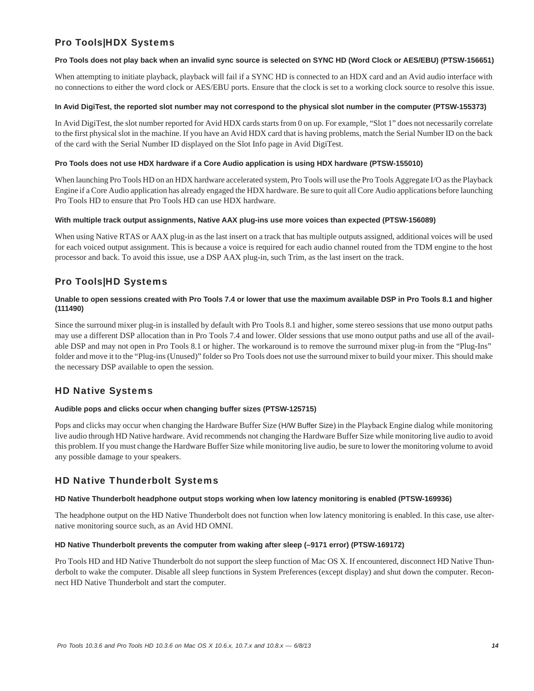# Pro Tools|HDX Systems

#### **Pro Tools does not play back when an invalid sync source is selected on SYNC HD (Word Clock or AES/EBU) (PTSW-156651)**

When attempting to initiate playback, playback will fail if a SYNC HD is connected to an HDX card and an Avid audio interface with no connections to either the word clock or AES/EBU ports. Ensure that the clock is set to a working clock source to resolve this issue.

#### **In Avid DigiTest, the reported slot number may not correspond to the physical slot number in the computer (PTSW-155373)**

In Avid DigiTest, the slot number reported for Avid HDX cards starts from 0 on up. For example, "Slot 1" does not necessarily correlate to the first physical slot in the machine. If you have an Avid HDX card that is having problems, match the Serial Number ID on the back of the card with the Serial Number ID displayed on the Slot Info page in Avid DigiTest.

#### **Pro Tools does not use HDX hardware if a Core Audio application is using HDX hardware (PTSW-155010)**

When launching Pro Tools HD on an HDX hardware accelerated system, Pro Tools will use the Pro Tools Aggregate I/O as the Playback Engine if a Core Audio application has already engaged the HDX hardware. Be sure to quit all Core Audio applications before launching Pro Tools HD to ensure that Pro Tools HD can use HDX hardware.

#### **With multiple track output assignments, Native AAX plug-ins use more voices than expected (PTSW-156089)**

When using Native RTAS or AAX plug-in as the last insert on a track that has multiple outputs assigned, additional voices will be used for each voiced output assignment. This is because a voice is required for each audio channel routed from the TDM engine to the host processor and back. To avoid this issue, use a DSP AAX plug-in, such Trim, as the last insert on the track.

### Pro Tools|HD Systems

#### **Unable to open sessions created with Pro Tools 7.4 or lower that use the maximum available DSP in Pro Tools 8.1 and higher (111490)**

Since the surround mixer plug-in is installed by default with Pro Tools 8.1 and higher, some stereo sessions that use mono output paths may use a different DSP allocation than in Pro Tools 7.4 and lower. Older sessions that use mono output paths and use all of the available DSP and may not open in Pro Tools 8.1 or higher. The workaround is to remove the surround mixer plug-in from the "Plug-Ins" folder and move it to the "Plug-ins (Unused)" folder so Pro Tools does not use the surround mixer to build your mixer. This should make the necessary DSP available to open the session.

# HD Native Systems

#### **Audible pops and clicks occur when changing buffer sizes (PTSW-125715)**

Pops and clicks may occur when changing the Hardware Buffer Size (H/W Buffer Size) in the Playback Engine dialog while monitoring live audio through HD Native hardware. Avid recommends not changing the Hardware Buffer Size while monitoring live audio to avoid this problem. If you must change the Hardware Buffer Size while monitoring live audio, be sure to lower the monitoring volume to avoid any possible damage to your speakers.

### HD Native Thunderbolt Systems

#### **HD Native Thunderbolt headphone output stops working when low latency monitoring is enabled (PTSW-169936)**

The headphone output on the HD Native Thunderbolt does not function when low latency monitoring is enabled. In this case, use alternative monitoring source such, as an Avid HD OMNI.

#### **HD Native Thunderbolt prevents the computer from waking after sleep (–9171 error) (PTSW-169172)**

Pro Tools HD and HD Native Thunderbolt do not support the sleep function of Mac OS X. If encountered, disconnect HD Native Thunderbolt to wake the computer. Disable all sleep functions in System Preferences (except display) and shut down the computer. Reconnect HD Native Thunderbolt and start the computer.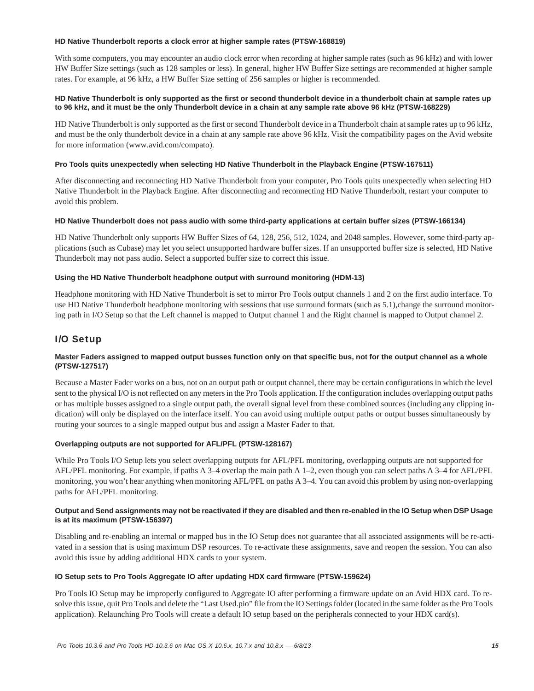#### **HD Native Thunderbolt reports a clock error at higher sample rates (PTSW-168819)**

With some computers, you may encounter an audio clock error when recording at higher sample rates (such as 96 kHz) and with lower HW Buffer Size settings (such as 128 samples or less). In general, higher HW Buffer Size settings are recommended at higher sample rates. For example, at 96 kHz, a HW Buffer Size setting of 256 samples or higher is recommended.

#### **HD Native Thunderbolt is only supported as the first or second thunderbolt device in a thunderbolt chain at sample rates up to 96 kHz, and it must be the only Thunderbolt device in a chain at any sample rate above 96 kHz (PTSW-168229)**

HD Native Thunderbolt is only supported as the first or second Thunderbolt device in a Thunderbolt chain at sample rates up to 96 kHz, and must be the only thunderbolt device in a chain at any sample rate above 96 kHz. Visit the compatibility pages on the Avid website for more information (www.avid.com/compato).

#### **Pro Tools quits unexpectedly when selecting HD Native Thunderbolt in the Playback Engine (PTSW-167511)**

After disconnecting and reconnecting HD Native Thunderbolt from your computer, Pro Tools quits unexpectedly when selecting HD Native Thunderbolt in the Playback Engine. After disconnecting and reconnecting HD Native Thunderbolt, restart your computer to avoid this problem.

#### **HD Native Thunderbolt does not pass audio with some third-party applications at certain buffer sizes (PTSW-166134)**

HD Native Thunderbolt only supports HW Buffer Sizes of 64, 128, 256, 512, 1024, and 2048 samples. However, some third-party applications (such as Cubase) may let you select unsupported hardware buffer sizes. If an unsupported buffer size is selected, HD Native Thunderbolt may not pass audio. Select a supported buffer size to correct this issue.

#### **Using the HD Native Thunderbolt headphone output with surround monitoring (HDM-13)**

Headphone monitoring with HD Native Thunderbolt is set to mirror Pro Tools output channels 1 and 2 on the first audio interface. To use HD Native Thunderbolt headphone monitoring with sessions that use surround formats (such as 5.1), change the surround monitoring path in I/O Setup so that the Left channel is mapped to Output channel 1 and the Right channel is mapped to Output channel 2.

### I/O Setup

#### **Master Faders assigned to mapped output busses function only on that specific bus, not for the output channel as a whole (PTSW-127517)**

Because a Master Fader works on a bus, not on an output path or output channel, there may be certain configurations in which the level sent to the physical I/O is not reflected on any meters in the Pro Tools application. If the configuration includes overlapping output paths or has multiple busses assigned to a single output path, the overall signal level from these combined sources (including any clipping indication) will only be displayed on the interface itself. You can avoid using multiple output paths or output busses simultaneously by routing your sources to a single mapped output bus and assign a Master Fader to that.

#### **Overlapping outputs are not supported for AFL/PFL (PTSW-128167)**

While Pro Tools I/O Setup lets you select overlapping outputs for AFL/PFL monitoring, overlapping outputs are not supported for AFL/PFL monitoring. For example, if paths A 3–4 overlap the main path A 1–2, even though you can select paths A 3–4 for AFL/PFL monitoring, you won't hear anything when monitoring AFL/PFL on paths A 3–4. You can avoid this problem by using non-overlapping paths for AFL/PFL monitoring.

#### **Output and Send assignments may not be reactivated if they are disabled and then re-enabled in the IO Setup when DSP Usage is at its maximum (PTSW-156397)**

Disabling and re-enabling an internal or mapped bus in the IO Setup does not guarantee that all associated assignments will be re-activated in a session that is using maximum DSP resources. To re-activate these assignments, save and reopen the session. You can also avoid this issue by adding additional HDX cards to your system.

#### **IO Setup sets to Pro Tools Aggregate IO after updating HDX card firmware (PTSW-159624)**

Pro Tools IO Setup may be improperly configured to Aggregate IO after performing a firmware update on an Avid HDX card. To resolve this issue, quit Pro Tools and delete the "Last Used.pio" file from the IO Settings folder (located in the same folder as the Pro Tools application). Relaunching Pro Tools will create a default IO setup based on the peripherals connected to your HDX card(s).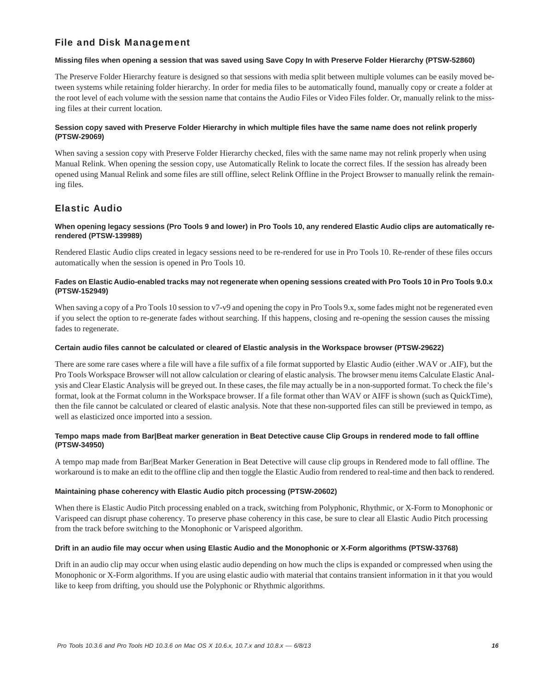# File and Disk Management

#### **Missing files when opening a session that was saved using Save Copy In with Preserve Folder Hierarchy (PTSW-52860)**

The Preserve Folder Hierarchy feature is designed so that sessions with media split between multiple volumes can be easily moved between systems while retaining folder hierarchy. In order for media files to be automatically found, manually copy or create a folder at the root level of each volume with the session name that contains the Audio Files or Video Files folder. Or, manually relink to the missing files at their current location.

#### **Session copy saved with Preserve Folder Hierarchy in which multiple files have the same name does not relink properly (PTSW-29069)**

When saving a session copy with Preserve Folder Hierarchy checked, files with the same name may not relink properly when using Manual Relink. When opening the session copy, use Automatically Relink to locate the correct files. If the session has already been opened using Manual Relink and some files are still offline, select Relink Offline in the Project Browser to manually relink the remaining files.

# Elastic Audio

#### **When opening legacy sessions (Pro Tools 9 and lower) in Pro Tools 10, any rendered Elastic Audio clips are automatically rerendered (PTSW-139989)**

Rendered Elastic Audio clips created in legacy sessions need to be re-rendered for use in Pro Tools 10. Re-render of these files occurs automatically when the session is opened in Pro Tools 10.

#### **Fades on Elastic Audio-enabled tracks may not regenerate when opening sessions created with Pro Tools 10 in Pro Tools 9.0.x (PTSW-152949)**

When saving a copy of a Pro Tools 10 session to v7-v9 and opening the copy in Pro Tools 9.x, some fades might not be regenerated even if you select the option to re-generate fades without searching. If this happens, closing and re-opening the session causes the missing fades to regenerate.

#### **Certain audio files cannot be calculated or cleared of Elastic analysis in the Workspace browser (PTSW-29622)**

There are some rare cases where a file will have a file suffix of a file format supported by Elastic Audio (either .WAV or .AIF), but the Pro Tools Workspace Browser will not allow calculation or clearing of elastic analysis. The browser menu items Calculate Elastic Analysis and Clear Elastic Analysis will be greyed out. In these cases, the file may actually be in a non-supported format. To check the file's format, look at the Format column in the Workspace browser. If a file format other than WAV or AIFF is shown (such as QuickTime), then the file cannot be calculated or cleared of elastic analysis. Note that these non-supported files can still be previewed in tempo, as well as elasticized once imported into a session.

#### **Tempo maps made from Bar|Beat marker generation in Beat Detective cause Clip Groups in rendered mode to fall offline (PTSW-34950)**

A tempo map made from Bar|Beat Marker Generation in Beat Detective will cause clip groups in Rendered mode to fall offline. The workaround is to make an edit to the offline clip and then toggle the Elastic Audio from rendered to real-time and then back to rendered.

#### **Maintaining phase coherency with Elastic Audio pitch processing (PTSW-20602)**

When there is Elastic Audio Pitch processing enabled on a track, switching from Polyphonic, Rhythmic, or X-Form to Monophonic or Varispeed can disrupt phase coherency. To preserve phase coherency in this case, be sure to clear all Elastic Audio Pitch processing from the track before switching to the Monophonic or Varispeed algorithm.

#### **Drift in an audio file may occur when using Elastic Audio and the Monophonic or X-Form algorithms (PTSW-33768)**

Drift in an audio clip may occur when using elastic audio depending on how much the clips is expanded or compressed when using the Monophonic or X-Form algorithms. If you are using elastic audio with material that contains transient information in it that you would like to keep from drifting, you should use the Polyphonic or Rhythmic algorithms.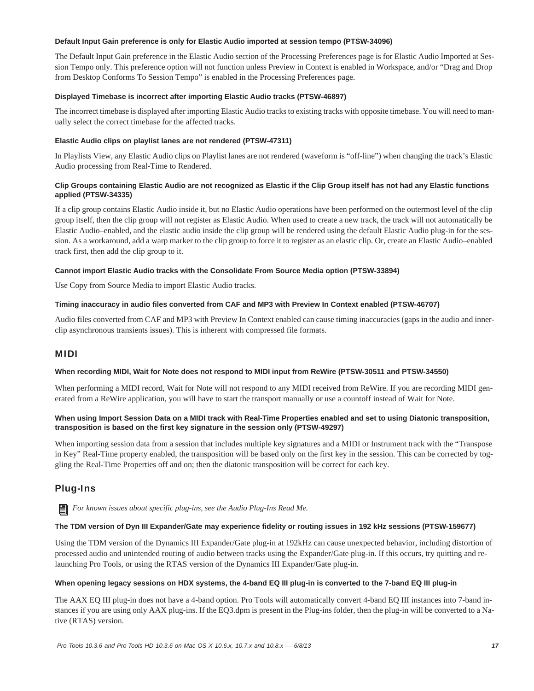#### **Default Input Gain preference is only for Elastic Audio imported at session tempo (PTSW-34096)**

The Default Input Gain preference in the Elastic Audio section of the Processing Preferences page is for Elastic Audio Imported at Session Tempo only. This preference option will not function unless Preview in Context is enabled in Workspace, and/or "Drag and Drop from Desktop Conforms To Session Tempo" is enabled in the Processing Preferences page.

### **Displayed Timebase is incorrect after importing Elastic Audio tracks (PTSW-46897)**

The incorrect timebase is displayed after importing Elastic Audio tracks to existing tracks with opposite timebase. You will need to manually select the correct timebase for the affected tracks.

#### **Elastic Audio clips on playlist lanes are not rendered (PTSW-47311)**

In Playlists View, any Elastic Audio clips on Playlist lanes are not rendered (waveform is "off-line") when changing the track's Elastic Audio processing from Real-Time to Rendered.

#### **Clip Groups containing Elastic Audio are not recognized as Elastic if the Clip Group itself has not had any Elastic functions applied (PTSW-34335)**

If a clip group contains Elastic Audio inside it, but no Elastic Audio operations have been performed on the outermost level of the clip group itself, then the clip group will not register as Elastic Audio. When used to create a new track, the track will not automatically be Elastic Audio–enabled, and the elastic audio inside the clip group will be rendered using the default Elastic Audio plug-in for the session. As a workaround, add a warp marker to the clip group to force it to register as an elastic clip. Or, create an Elastic Audio–enabled track first, then add the clip group to it.

#### **Cannot import Elastic Audio tracks with the Consolidate From Source Media option (PTSW-33894)**

Use Copy from Source Media to import Elastic Audio tracks.

#### **Timing inaccuracy in audio files converted from CAF and MP3 with Preview In Context enabled (PTSW-46707)**

Audio files converted from CAF and MP3 with Preview In Context enabled can cause timing inaccuracies (gaps in the audio and innerclip asynchronous transients issues). This is inherent with compressed file formats.

### MIDI

#### **When recording MIDI, Wait for Note does not respond to MIDI input from ReWire (PTSW-30511 and PTSW-34550)**

When performing a MIDI record, Wait for Note will not respond to any MIDI received from ReWire. If you are recording MIDI generated from a ReWire application, you will have to start the transport manually or use a countoff instead of Wait for Note.

#### **When using Import Session Data on a MIDI track with Real-Time Properties enabled and set to using Diatonic transposition, transposition is based on the first key signature in the session only (PTSW-49297)**

When importing session data from a session that includes multiple key signatures and a MIDI or Instrument track with the "Transpose in Key" Real-Time property enabled, the transposition will be based only on the first key in the session. This can be corrected by toggling the Real-Time Properties off and on; then the diatonic transposition will be correct for each key.

### Plug-Ins

*For known issues about specific plug-ins, see the Audio Plug-Ins Read Me.*

#### **The TDM version of Dyn III Expander/Gate may experience fidelity or routing issues in 192 kHz sessions (PTSW-159677)**

Using the TDM version of the Dynamics III Expander/Gate plug-in at 192kHz can cause unexpected behavior, including distortion of processed audio and unintended routing of audio between tracks using the Expander/Gate plug-in. If this occurs, try quitting and relaunching Pro Tools, or using the RTAS version of the Dynamics III Expander/Gate plug-in.

#### **When opening legacy sessions on HDX systems, the 4-band EQ III plug-in is converted to the 7-band EQ III plug-in**

The AAX EQ III plug-in does not have a 4-band option. Pro Tools will automatically convert 4-band EQ III instances into 7-band instances if you are using only AAX plug-ins. If the EQ3.dpm is present in the Plug-ins folder, then the plug-in will be converted to a Native (RTAS) version.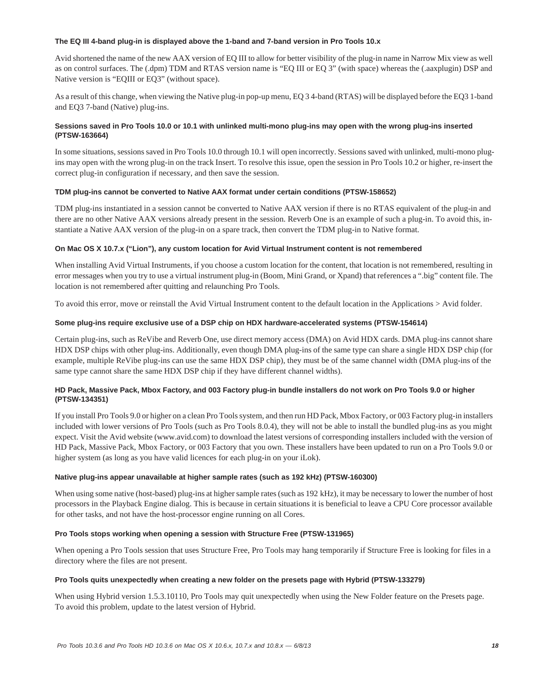#### **The EQ III 4-band plug-in is displayed above the 1-band and 7-band version in Pro Tools 10.x**

Avid shortened the name of the new AAX version of EQ III to allow for better visibility of the plug-in name in Narrow Mix view as well as on control surfaces. The (.dpm) TDM and RTAS version name is "EQ III or EQ 3" (with space) whereas the (.aaxplugin) DSP and Native version is "EQIII or EQ3" (without space).

As a result of this change, when viewing the Native plug-in pop-up menu, EQ 3 4-band (RTAS) will be displayed before the EQ3 1-band and EQ3 7-band (Native) plug-ins.

#### **Sessions saved in Pro Tools 10.0 or 10.1 with unlinked multi-mono plug-ins may open with the wrong plug-ins inserted (PTSW-163664)**

In some situations, sessions saved in Pro Tools 10.0 through 10.1 will open incorrectly. Sessions saved with unlinked, multi-mono plugins may open with the wrong plug-in on the track Insert. To resolve this issue, open the session in Pro Tools 10.2 or higher, re-insert the correct plug-in configuration if necessary, and then save the session.

#### **TDM plug-ins cannot be converted to Native AAX format under certain conditions (PTSW-158652)**

TDM plug-ins instantiated in a session cannot be converted to Native AAX version if there is no RTAS equivalent of the plug-in and there are no other Native AAX versions already present in the session. Reverb One is an example of such a plug-in. To avoid this, instantiate a Native AAX version of the plug-in on a spare track, then convert the TDM plug-in to Native format.

#### **On Mac OS X 10.7.x ("Lion"), any custom location for Avid Virtual Instrument content is not remembered**

When installing Avid Virtual Instruments, if you choose a custom location for the content, that location is not remembered, resulting in error messages when you try to use a virtual instrument plug-in (Boom, Mini Grand, or Xpand) that references a ".big" content file. The location is not remembered after quitting and relaunching Pro Tools.

To avoid this error, move or reinstall the Avid Virtual Instrument content to the default location in the Applications > Avid folder.

#### **Some plug-ins require exclusive use of a DSP chip on HDX hardware-accelerated systems (PTSW-154614)**

Certain plug-ins, such as ReVibe and Reverb One, use direct memory access (DMA) on Avid HDX cards. DMA plug-ins cannot share HDX DSP chips with other plug-ins. Additionally, even though DMA plug-ins of the same type can share a single HDX DSP chip (for example, multiple ReVibe plug-ins can use the same HDX DSP chip), they must be of the same channel width (DMA plug-ins of the same type cannot share the same HDX DSP chip if they have different channel widths).

#### **HD Pack, Massive Pack, Mbox Factory, and 003 Factory plug-in bundle installers do not work on Pro Tools 9.0 or higher (PTSW-134351)**

If you install Pro Tools 9.0 or higher on a clean Pro Tools system, and then run HD Pack, Mbox Factory, or 003 Factory plug-in installers included with lower versions of Pro Tools (such as Pro Tools 8.0.4), they will not be able to install the bundled plug-ins as you might expect. Visit the Avid website (www.avid.com) to download the latest versions of corresponding installers included with the version of HD Pack, Massive Pack, Mbox Factory, or 003 Factory that you own. These installers have been updated to run on a Pro Tools 9.0 or higher system (as long as you have valid licences for each plug-in on your iLok).

#### **Native plug-ins appear unavailable at higher sample rates (such as 192 kHz) (PTSW-160300)**

When using some native (host-based) plug-ins at higher sample rates (such as 192 kHz), it may be necessary to lower the number of host processors in the Playback Engine dialog. This is because in certain situations it is beneficial to leave a CPU Core processor available for other tasks, and not have the host-processor engine running on all Cores.

#### **Pro Tools stops working when opening a session with Structure Free (PTSW-131965)**

When opening a Pro Tools session that uses Structure Free, Pro Tools may hang temporarily if Structure Free is looking for files in a directory where the files are not present.

#### **Pro Tools quits unexpectedly when creating a new folder on the presets page with Hybrid (PTSW-133279)**

When using Hybrid version 1.5.3.10110, Pro Tools may quit unexpectedly when using the New Folder feature on the Presets page. To avoid this problem, update to the latest version of Hybrid.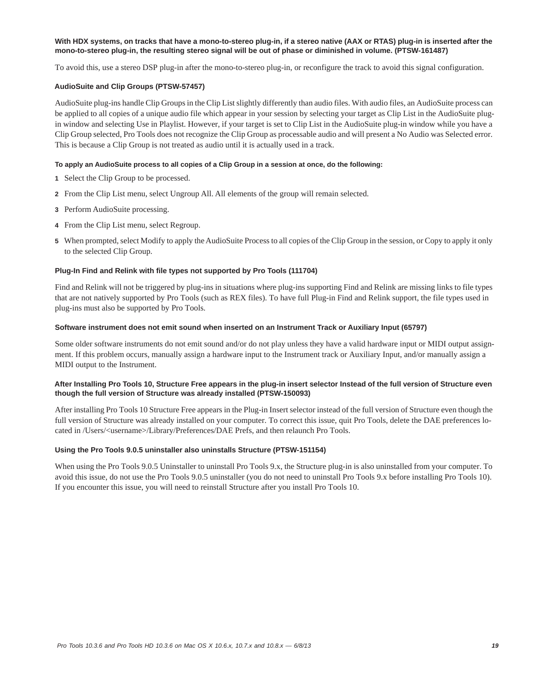#### **With HDX systems, on tracks that have a mono-to-stereo plug-in, if a stereo native (AAX or RTAS) plug-in is inserted after the mono-to-stereo plug-in, the resulting stereo signal will be out of phase or diminished in volume. (PTSW-161487)**

To avoid this, use a stereo DSP plug-in after the mono-to-stereo plug-in, or reconfigure the track to avoid this signal configuration.

#### **AudioSuite and Clip Groups (PTSW-57457)**

AudioSuite plug-ins handle Clip Groups in the Clip List slightly differently than audio files. With audio files, an AudioSuite process can be applied to all copies of a unique audio file which appear in your session by selecting your target as Clip List in the AudioSuite plugin window and selecting Use in Playlist. However, if your target is set to Clip List in the AudioSuite plug-in window while you have a Clip Group selected, Pro Tools does not recognize the Clip Group as processable audio and will present a No Audio was Selected error. This is because a Clip Group is not treated as audio until it is actually used in a track.

#### **To apply an AudioSuite process to all copies of a Clip Group in a session at once, do the following:**

- **1** Select the Clip Group to be processed.
- **2** From the Clip List menu, select Ungroup All. All elements of the group will remain selected.
- **3** Perform AudioSuite processing.
- **4** From the Clip List menu, select Regroup.
- **5** When prompted, select Modify to apply the AudioSuite Process to all copies of the Clip Group in the session, or Copy to apply it only to the selected Clip Group.

#### **Plug-In Find and Relink with file types not supported by Pro Tools (111704)**

Find and Relink will not be triggered by plug-ins in situations where plug-ins supporting Find and Relink are missing links to file types that are not natively supported by Pro Tools (such as REX files). To have full Plug-in Find and Relink support, the file types used in plug-ins must also be supported by Pro Tools.

#### **Software instrument does not emit sound when inserted on an Instrument Track or Auxiliary Input (65797)**

Some older software instruments do not emit sound and/or do not play unless they have a valid hardware input or MIDI output assignment. If this problem occurs, manually assign a hardware input to the Instrument track or Auxiliary Input, and/or manually assign a MIDI output to the Instrument.

#### **After Installing Pro Tools 10, Structure Free appears in the plug-in insert selector Instead of the full version of Structure even though the full version of Structure was already installed (PTSW-150093)**

After installing Pro Tools 10 Structure Free appears in the Plug-in Insert selector instead of the full version of Structure even though the full version of Structure was already installed on your computer. To correct this issue, quit Pro Tools, delete the DAE preferences located in /Users/<username>/Library/Preferences/DAE Prefs, and then relaunch Pro Tools.

#### **Using the Pro Tools 9.0.5 uninstaller also uninstalls Structure (PTSW-151154)**

When using the Pro Tools 9.0.5 Uninstaller to uninstall Pro Tools 9.x, the Structure plug-in is also uninstalled from your computer. To avoid this issue, do not use the Pro Tools 9.0.5 uninstaller (you do not need to uninstall Pro Tools 9.x before installing Pro Tools 10). If you encounter this issue, you will need to reinstall Structure after you install Pro Tools 10.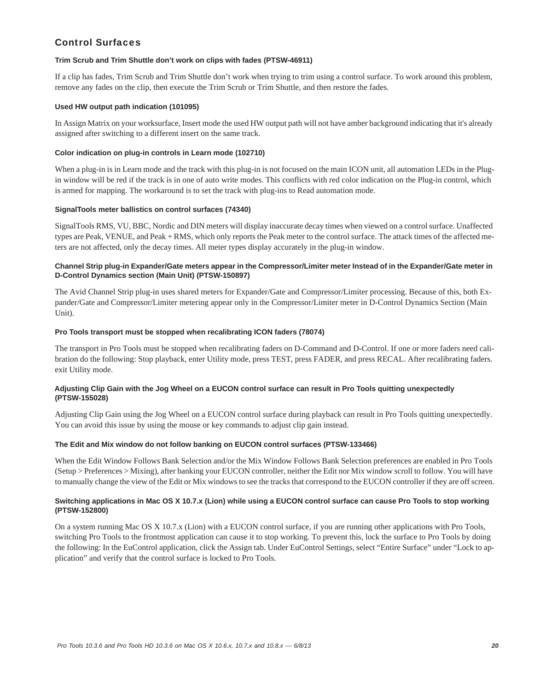### Control Surfaces

#### **Trim Scrub and Trim Shuttle don't work on clips with fades (PTSW-46911)**

If a clip has fades, Trim Scrub and Trim Shuttle don't work when trying to trim using a control surface. To work around this problem, remove any fades on the clip, then execute the Trim Scrub or Trim Shuttle, and then restore the fades.

#### **Used HW output path indication (101095)**

In Assign Matrix on your worksurface, Insert mode the used HW output path will not have amber background indicating that it's already assigned after switching to a different insert on the same track.

#### **Color indication on plug-in controls in Learn mode (102710)**

When a plug-in is in Learn mode and the track with this plug-in is not focused on the main ICON unit, all automation LEDs in the Plugin window will be red if the track is in one of auto write modes. This conflicts with red color indication on the Plug-in control, which is armed for mapping. The workaround is to set the track with plug-ins to Read automation mode.

#### **SignalTools meter ballistics on control surfaces (74340)**

SignalTools RMS, VU, BBC, Nordic and DIN meters will display inaccurate decay times when viewed on a control surface. Unaffected types are Peak, VENUE, and Peak + RMS, which only reports the Peak meter to the control surface. The attack times of the affected meters are not affected, only the decay times. All meter types display accurately in the plug-in window.

#### **Channel Strip plug-in Expander/Gate meters appear in the Compressor/Limiter meter Instead of in the Expander/Gate meter in D-Control Dynamics section (Main Unit) (PTSW-150897)**

The Avid Channel Strip plug-in uses shared meters for Expander/Gate and Compressor/Limiter processing. Because of this, both Expander/Gate and Compressor/Limiter metering appear only in the Compressor/Limiter meter in D-Control Dynamics Section (Main Unit).

#### **Pro Tools transport must be stopped when recalibrating ICON faders (78074)**

The transport in Pro Tools must be stopped when recalibrating faders on D-Command and D-Control. If one or more faders need calibration do the following: Stop playback, enter Utility mode, press TEST, press FADER, and press RECAL. After recalibrating faders. exit Utility mode.

#### **Adjusting Clip Gain with the Jog Wheel on a EUCON control surface can result in Pro Tools quitting unexpectedly (PTSW-155028)**

Adjusting Clip Gain using the Jog Wheel on a EUCON control surface during playback can result in Pro Tools quitting unexpectedly. You can avoid this issue by using the mouse or key commands to adjust clip gain instead.

#### **The Edit and Mix window do not follow banking on EUCON control surfaces (PTSW-133466)**

When the Edit Window Follows Bank Selection and/or the Mix Window Follows Bank Selection preferences are enabled in Pro Tools (Setup > Preferences > Mixing), after banking your EUCON controller, neither the Edit nor Mix window scroll to follow. You will have to manually change the view of the Edit or Mix windows to see the tracks that correspond to the EUCON controller if they are off screen.

#### **Switching applications in Mac OS X 10.7.x (Lion) while using a EUCON control surface can cause Pro Tools to stop working (PTSW-152800)**

On a system running Mac OS X 10.7.x (Lion) with a EUCON control surface, if you are running other applications with Pro Tools, switching Pro Tools to the frontmost application can cause it to stop working. To prevent this, lock the surface to Pro Tools by doing the following: In the EuControl application, click the Assign tab. Under EuControl Settings, select "Entire Surface" under "Lock to application" and verify that the control surface is locked to Pro Tools.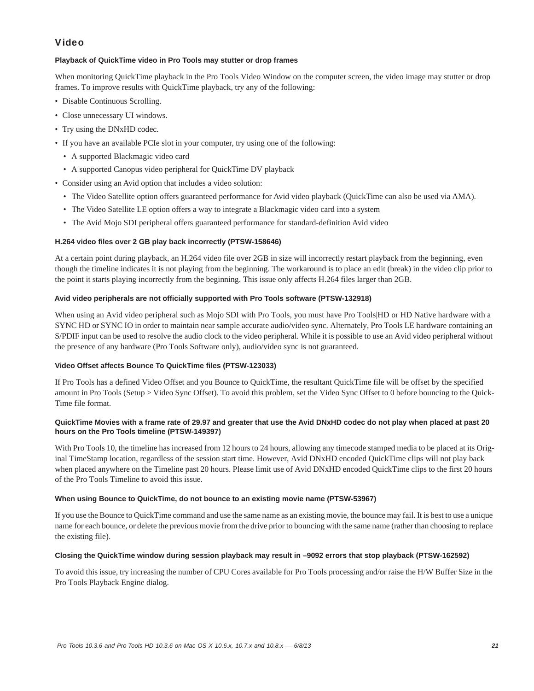# Video

### **Playback of QuickTime video in Pro Tools may stutter or drop frames**

When monitoring QuickTime playback in the Pro Tools Video Window on the computer screen, the video image may stutter or drop frames. To improve results with QuickTime playback, try any of the following:

- Disable Continuous Scrolling.
- Close unnecessary UI windows.
- Try using the DNxHD codec.
- If you have an available PCIe slot in your computer, try using one of the following:
	- A supported Blackmagic video card
	- A supported Canopus video peripheral for QuickTime DV playback
- Consider using an Avid option that includes a video solution:
	- The Video Satellite option offers guaranteed performance for Avid video playback (QuickTime can also be used via AMA).
	- The Video Satellite LE option offers a way to integrate a Blackmagic video card into a system
	- The Avid Mojo SDI peripheral offers guaranteed performance for standard-definition Avid video

#### **H.264 video files over 2 GB play back incorrectly (PTSW-158646)**

At a certain point during playback, an H.264 video file over 2GB in size will incorrectly restart playback from the beginning, even though the timeline indicates it is not playing from the beginning. The workaround is to place an edit (break) in the video clip prior to the point it starts playing incorrectly from the beginning. This issue only affects H.264 files larger than 2GB.

#### **Avid video peripherals are not officially supported with Pro Tools software (PTSW-132918)**

When using an Avid video peripheral such as Mojo SDI with Pro Tools, you must have Pro Tools|HD or HD Native hardware with a SYNC HD or SYNC IO in order to maintain near sample accurate audio/video sync. Alternately, Pro Tools LE hardware containing an S/PDIF input can be used to resolve the audio clock to the video peripheral. While it is possible to use an Avid video peripheral without the presence of any hardware (Pro Tools Software only), audio/video sync is not guaranteed.

#### **Video Offset affects Bounce To QuickTime files (PTSW-123033)**

If Pro Tools has a defined Video Offset and you Bounce to QuickTime, the resultant QuickTime file will be offset by the specified amount in Pro Tools (Setup > Video Sync Offset). To avoid this problem, set the Video Sync Offset to 0 before bouncing to the Quick-Time file format.

#### **QuickTime Movies with a frame rate of 29.97 and greater that use the Avid DNxHD codec do not play when placed at past 20 hours on the Pro Tools timeline (PTSW-149397)**

With Pro Tools 10, the timeline has increased from 12 hours to 24 hours, allowing any timecode stamped media to be placed at its Original TimeStamp location, regardless of the session start time. However, Avid DNxHD encoded QuickTime clips will not play back when placed anywhere on the Timeline past 20 hours. Please limit use of Avid DNxHD encoded QuickTime clips to the first 20 hours of the Pro Tools Timeline to avoid this issue.

#### **When using Bounce to QuickTime, do not bounce to an existing movie name (PTSW-53967)**

If you use the Bounce to QuickTime command and use the same name as an existing movie, the bounce may fail. It is best to use a unique name for each bounce, or delete the previous movie from the drive prior to bouncing with the same name (rather than choosing to replace the existing file).

#### **Closing the QuickTime window during session playback may result in –9092 errors that stop playback (PTSW-162592)**

To avoid this issue, try increasing the number of CPU Cores available for Pro Tools processing and/or raise the H/W Buffer Size in the Pro Tools Playback Engine dialog.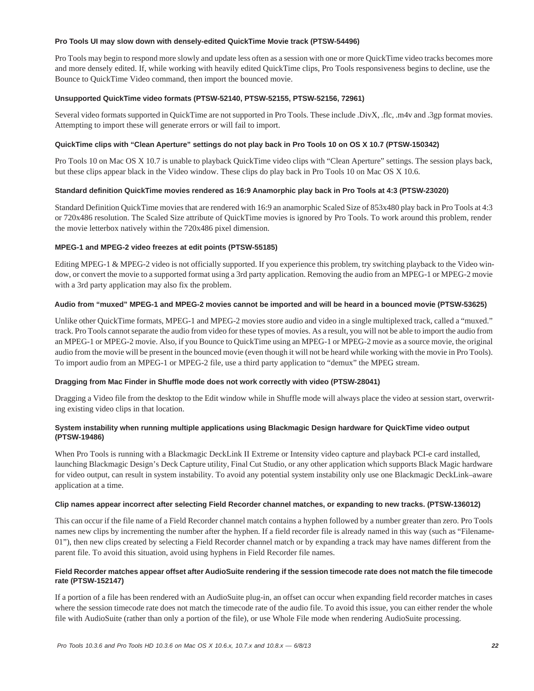#### **Pro Tools UI may slow down with densely-edited QuickTime Movie track (PTSW-54496)**

Pro Tools may begin to respond more slowly and update less often as a session with one or more QuickTime video tracks becomes more and more densely edited. If, while working with heavily edited QuickTime clips, Pro Tools responsiveness begins to decline, use the Bounce to QuickTime Video command, then import the bounced movie.

#### **Unsupported QuickTime video formats (PTSW-52140, PTSW-52155, PTSW-52156, 72961)**

Several video formats supported in QuickTime are not supported in Pro Tools. These include .DivX, .flc, .m4v and .3gp format movies. Attempting to import these will generate errors or will fail to import.

#### **QuickTime clips with "Clean Aperture" settings do not play back in Pro Tools 10 on OS X 10.7 (PTSW-150342)**

Pro Tools 10 on Mac OS X 10.7 is unable to playback QuickTime video clips with "Clean Aperture" settings. The session plays back, but these clips appear black in the Video window. These clips do play back in Pro Tools 10 on Mac OS X 10.6.

#### **Standard definition QuickTime movies rendered as 16:9 Anamorphic play back in Pro Tools at 4:3 (PTSW-23020)**

Standard Definition QuickTime movies that are rendered with 16:9 an anamorphic Scaled Size of 853x480 play back in Pro Tools at 4:3 or 720x486 resolution. The Scaled Size attribute of QuickTime movies is ignored by Pro Tools. To work around this problem, render the movie letterbox natively within the 720x486 pixel dimension.

#### **MPEG-1 and MPEG-2 video freezes at edit points (PTSW-55185)**

Editing MPEG-1 & MPEG-2 video is not officially supported. If you experience this problem, try switching playback to the Video window, or convert the movie to a supported format using a 3rd party application. Removing the audio from an MPEG-1 or MPEG-2 movie with a 3rd party application may also fix the problem.

#### **Audio from "muxed" MPEG-1 and MPEG-2 movies cannot be imported and will be heard in a bounced movie (PTSW-53625)**

Unlike other QuickTime formats, MPEG-1 and MPEG-2 movies store audio and video in a single multiplexed track, called a "muxed." track. Pro Tools cannot separate the audio from video for these types of movies. As a result, you will not be able to import the audio from an MPEG-1 or MPEG-2 movie. Also, if you Bounce to QuickTime using an MPEG-1 or MPEG-2 movie as a source movie, the original audio from the movie will be present in the bounced movie (even though it will not be heard while working with the movie in Pro Tools). To import audio from an MPEG-1 or MPEG-2 file, use a third party application to "demux" the MPEG stream.

#### **Dragging from Mac Finder in Shuffle mode does not work correctly with video (PTSW-28041)**

Dragging a Video file from the desktop to the Edit window while in Shuffle mode will always place the video at session start, overwriting existing video clips in that location.

#### **System instability when running multiple applications using Blackmagic Design hardware for QuickTime video output (PTSW-19486)**

When Pro Tools is running with a Blackmagic DeckLink II Extreme or Intensity video capture and playback PCI-e card installed, launching Blackmagic Design's Deck Capture utility, Final Cut Studio, or any other application which supports Black Magic hardware for video output, can result in system instability. To avoid any potential system instability only use one Blackmagic DeckLink–aware application at a time.

#### **Clip names appear incorrect after selecting Field Recorder channel matches, or expanding to new tracks. (PTSW-136012)**

This can occur if the file name of a Field Recorder channel match contains a hyphen followed by a number greater than zero. Pro Tools names new clips by incrementing the number after the hyphen. If a field recorder file is already named in this way (such as "Filename-01"), then new clips created by selecting a Field Recorder channel match or by expanding a track may have names different from the parent file. To avoid this situation, avoid using hyphens in Field Recorder file names.

#### **Field Recorder matches appear offset after AudioSuite rendering if the session timecode rate does not match the file timecode rate (PTSW-152147)**

If a portion of a file has been rendered with an AudioSuite plug-in, an offset can occur when expanding field recorder matches in cases where the session timecode rate does not match the timecode rate of the audio file. To avoid this issue, you can either render the whole file with AudioSuite (rather than only a portion of the file), or use Whole File mode when rendering AudioSuite processing.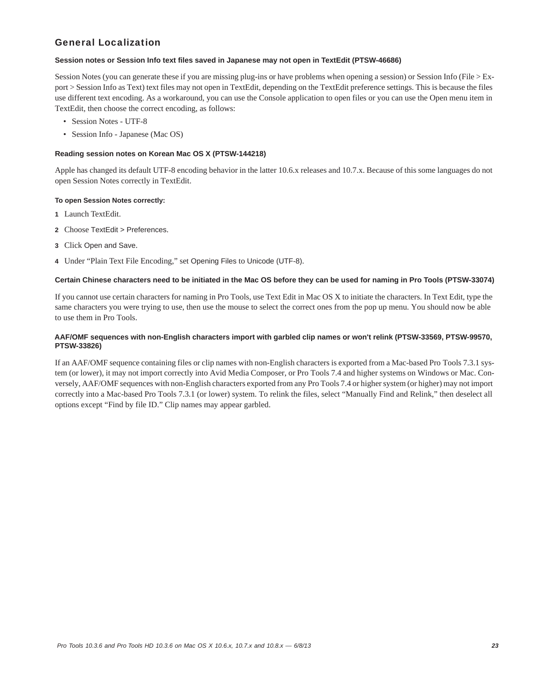# General Localization

#### **Session notes or Session Info text files saved in Japanese may not open in TextEdit (PTSW-46686)**

Session Notes (you can generate these if you are missing plug-ins or have problems when opening a session) or Session Info (File > Export > Session Info as Text) text files may not open in TextEdit, depending on the TextEdit preference settings. This is because the files use different text encoding. As a workaround, you can use the Console application to open files or you can use the Open menu item in TextEdit, then choose the correct encoding, as follows:

- Session Notes UTF-8
- Session Info Japanese (Mac OS)

### **Reading session notes on Korean Mac OS X (PTSW-144218)**

Apple has changed its default UTF-8 encoding behavior in the latter 10.6.x releases and 10.7.x. Because of this some languages do not open Session Notes correctly in TextEdit.

#### **To open Session Notes correctly:**

- **1** Launch TextEdit.
- **2** Choose TextEdit > Preferences.
- **3** Click Open and Save.
- **4** Under "Plain Text File Encoding," set Opening Files to Unicode (UTF-8).

#### **Certain Chinese characters need to be initiated in the Mac OS before they can be used for naming in Pro Tools (PTSW-33074)**

If you cannot use certain characters for naming in Pro Tools, use Text Edit in Mac OS X to initiate the characters. In Text Edit, type the same characters you were trying to use, then use the mouse to select the correct ones from the pop up menu. You should now be able to use them in Pro Tools.

#### **AAF/OMF sequences with non-English characters import with garbled clip names or won't relink (PTSW-33569, PTSW-99570, PTSW-33826)**

If an AAF/OMF sequence containing files or clip names with non-English characters is exported from a Mac-based Pro Tools 7.3.1 system (or lower), it may not import correctly into Avid Media Composer, or Pro Tools 7.4 and higher systems on Windows or Mac. Conversely, AAF/OMF sequences with non-English characters exported from any Pro Tools 7.4 or higher system (or higher) may not import correctly into a Mac-based Pro Tools 7.3.1 (or lower) system. To relink the files, select "Manually Find and Relink," then deselect all options except "Find by file ID." Clip names may appear garbled.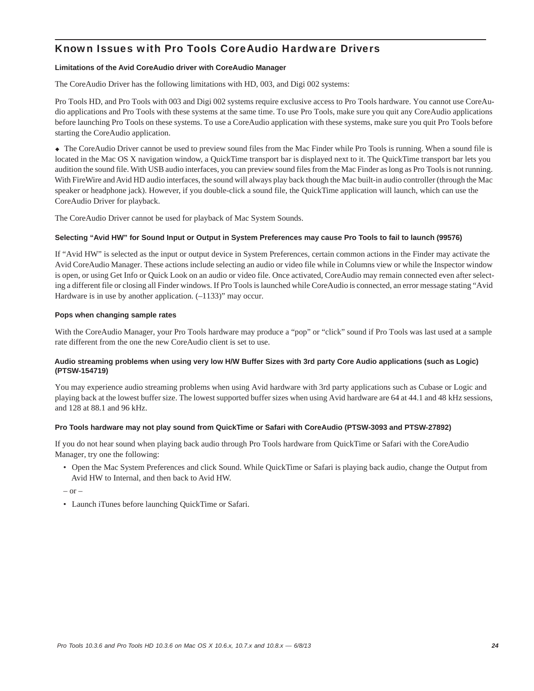# Known Issues with Pro Tools CoreAudio Hardware Drivers

#### **Limitations of the Avid CoreAudio driver with CoreAudio Manager**

The CoreAudio Driver has the following limitations with HD, 003, and Digi 002 systems:

Pro Tools HD, and Pro Tools with 003 and Digi 002 systems require exclusive access to Pro Tools hardware. You cannot use CoreAudio applications and Pro Tools with these systems at the same time. To use Pro Tools, make sure you quit any CoreAudio applications before launching Pro Tools on these systems. To use a CoreAudio application with these systems, make sure you quit Pro Tools before starting the CoreAudio application.

 The CoreAudio Driver cannot be used to preview sound files from the Mac Finder while Pro Tools is running. When a sound file is located in the Mac OS X navigation window, a QuickTime transport bar is displayed next to it. The QuickTime transport bar lets you audition the sound file. With USB audio interfaces, you can preview sound files from the Mac Finder as long as Pro Tools is not running. With FireWire and Avid HD audio interfaces, the sound will always play back though the Mac built-in audio controller (through the Mac speaker or headphone jack). However, if you double-click a sound file, the QuickTime application will launch, which can use the CoreAudio Driver for playback.

The CoreAudio Driver cannot be used for playback of Mac System Sounds.

### **Selecting "Avid HW" for Sound Input or Output in System Preferences may cause Pro Tools to fail to launch (99576)**

If "Avid HW" is selected as the input or output device in System Preferences, certain common actions in the Finder may activate the Avid CoreAudio Manager. These actions include selecting an audio or video file while in Columns view or while the Inspector window is open, or using Get Info or Quick Look on an audio or video file. Once activated, CoreAudio may remain connected even after selecting a different file or closing all Finder windows. If Pro Tools is launched while CoreAudio is connected, an error message stating "Avid Hardware is in use by another application.  $(-1133)$ " may occur.

#### **Pops when changing sample rates**

With the CoreAudio Manager, your Pro Tools hardware may produce a "pop" or "click" sound if Pro Tools was last used at a sample rate different from the one the new CoreAudio client is set to use.

### **Audio streaming problems when using very low H/W Buffer Sizes with 3rd party Core Audio applications (such as Logic) (PTSW-154719)**

You may experience audio streaming problems when using Avid hardware with 3rd party applications such as Cubase or Logic and playing back at the lowest buffer size. The lowest supported buffer sizes when using Avid hardware are 64 at 44.1 and 48 kHz sessions, and 128 at 88.1 and 96 kHz.

#### **Pro Tools hardware may not play sound from QuickTime or Safari with CoreAudio (PTSW-3093 and PTSW-27892)**

If you do not hear sound when playing back audio through Pro Tools hardware from QuickTime or Safari with the CoreAudio Manager, try one the following:

• Open the Mac System Preferences and click Sound. While QuickTime or Safari is playing back audio, change the Output from Avid HW to Internal, and then back to Avid HW.

 $-$  or  $-$ 

• Launch iTunes before launching QuickTime or Safari.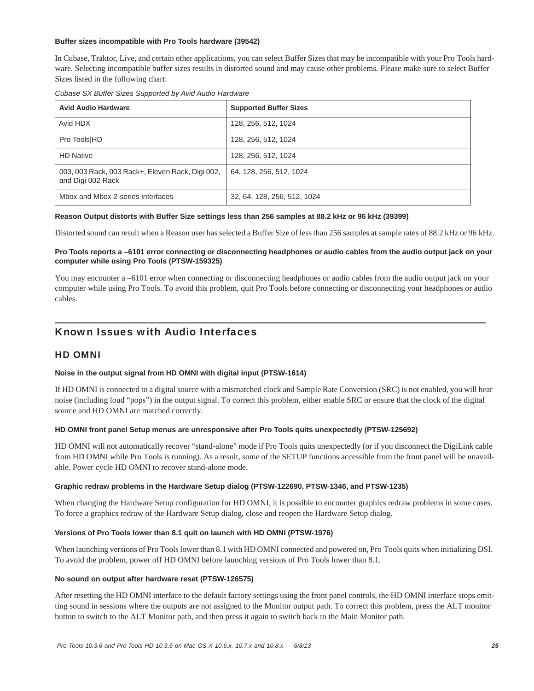#### **Buffer sizes incompatible with Pro Tools hardware (39542)**

In Cubase, Traktor, Live, and certain other applications, you can select Buffer Sizes that may be incompatible with your Pro Tools hardware. Selecting incompatible buffer sizes results in distorted sound and may cause other problems. Please make sure to select Buffer Sizes listed in the following chart:

|  | Cubase SX Buffer Sizes Supported by Avid Audio Hardware |  |  |
|--|---------------------------------------------------------|--|--|
|  |                                                         |  |  |

| <b>Avid Audio Hardware</b>                                            | <b>Supported Buffer Sizes</b> |  |
|-----------------------------------------------------------------------|-------------------------------|--|
| Avid HDX                                                              | 128, 256, 512, 1024           |  |
| Pro Tools HD                                                          | 128, 256, 512, 1024           |  |
| <b>HD Native</b>                                                      | 128, 256, 512, 1024           |  |
| 003, 003 Rack, 003 Rack+, Eleven Rack, Digi 002,<br>and Digi 002 Rack | 64, 128, 256, 512, 1024       |  |
| Mbox and Mbox 2-series interfaces                                     | 32, 64, 128, 256, 512, 1024   |  |

#### **Reason Output distorts with Buffer Size settings less than 256 samples at 88.2 kHz or 96 kHz (39399)**

Distorted sound can result when a Reason user has selected a Buffer Size of less than 256 samples at sample rates of 88.2 kHz or 96 kHz.

### **Pro Tools reports a –6101 error connecting or disconnecting headphones or audio cables from the audio output jack on your computer while using Pro Tools (PTSW-159325)**

You may encounter a –6101 error when connecting or disconnecting headphones or audio cables from the audio output jack on your computer while using Pro Tools. To avoid this problem, quit Pro Tools before connecting or disconnecting your headphones or audio cables.

# Known Issues with Audio Interfaces

### HD OMNI

#### **Noise in the output signal from HD OMNI with digital input (PTSW-1614)**

If HD OMNI is connected to a digital source with a mismatched clock and Sample Rate Conversion (SRC) is not enabled, you will hear noise (including loud "pops") in the output signal. To correct this problem, either enable SRC or ensure that the clock of the digital source and HD OMNI are matched correctly.

#### **HD OMNI front panel Setup menus are unresponsive after Pro Tools quits unexpectedly (PTSW-125692)**

HD OMNI will not automatically recover "stand-alone" mode if Pro Tools quits unexpectedly (or if you disconnect the DigiLink cable from HD OMNI while Pro Tools is running). As a result, some of the SETUP functions accessible from the front panel will be unavailable. Power cycle HD OMNI to recover stand-alone mode.

#### **Graphic redraw problems in the Hardware Setup dialog (PTSW-122690, PTSW-1346, and PTSW-1235)**

When changing the Hardware Setup configuration for HD OMNI, it is possible to encounter graphics redraw problems in some cases. To force a graphics redraw of the Hardware Setup dialog, close and reopen the Hardware Setup dialog.

#### **Versions of Pro Tools lower than 8.1 quit on launch with HD OMNI (PTSW-1976)**

When launching versions of Pro Tools lower than 8.1 with HD OMNI connected and powered on, Pro Tools quits when initializing DSI. To avoid the problem, power off HD OMNI before launching versions of Pro Tools lower than 8.1.

#### **No sound on output after hardware reset (PTSW-126575)**

After resetting the HD OMNI interface to the default factory settings using the front panel controls, the HD OMNI interface stops emitting sound in sessions where the outputs are not assigned to the Monitor output path. To correct this problem, press the ALT monitor button to switch to the ALT Monitor path, and then press it again to switch back to the Main Monitor path.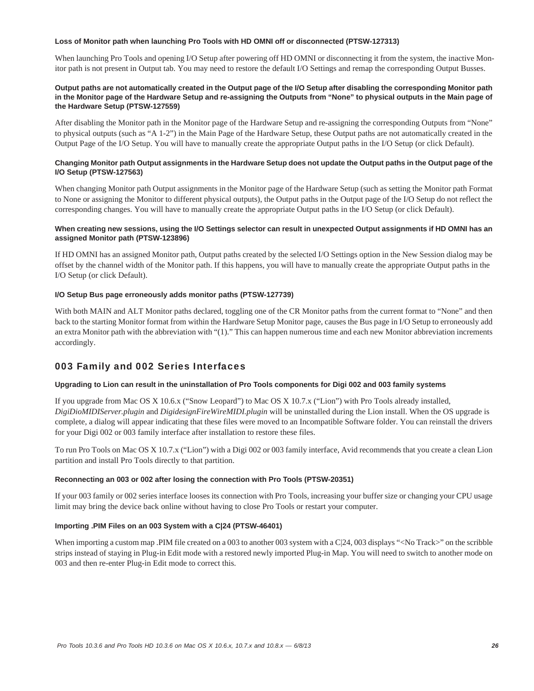#### **Loss of Monitor path when launching Pro Tools with HD OMNI off or disconnected (PTSW-127313)**

When launching Pro Tools and opening I/O Setup after powering off HD OMNI or disconnecting it from the system, the inactive Monitor path is not present in Output tab. You may need to restore the default I/O Settings and remap the corresponding Output Busses.

#### **Output paths are not automatically created in the Output page of the I/O Setup after disabling the corresponding Monitor path in the Monitor page of the Hardware Setup and re-assigning the Outputs from "None" to physical outputs in the Main page of the Hardware Setup (PTSW-127559)**

After disabling the Monitor path in the Monitor page of the Hardware Setup and re-assigning the corresponding Outputs from "None" to physical outputs (such as "A 1-2") in the Main Page of the Hardware Setup, these Output paths are not automatically created in the Output Page of the I/O Setup. You will have to manually create the appropriate Output paths in the I/O Setup (or click Default).

#### **Changing Monitor path Output assignments in the Hardware Setup does not update the Output paths in the Output page of the I/O Setup (PTSW-127563)**

When changing Monitor path Output assignments in the Monitor page of the Hardware Setup (such as setting the Monitor path Format to None or assigning the Monitor to different physical outputs), the Output paths in the Output page of the I/O Setup do not reflect the corresponding changes. You will have to manually create the appropriate Output paths in the I/O Setup (or click Default).

#### **When creating new sessions, using the I/O Settings selector can result in unexpected Output assignments if HD OMNI has an assigned Monitor path (PTSW-123896)**

If HD OMNI has an assigned Monitor path, Output paths created by the selected I/O Settings option in the New Session dialog may be offset by the channel width of the Monitor path. If this happens, you will have to manually create the appropriate Output paths in the I/O Setup (or click Default).

#### **I/O Setup Bus page erroneously adds monitor paths (PTSW-127739)**

With both MAIN and ALT Monitor paths declared, toggling one of the CR Monitor paths from the current format to "None" and then back to the starting Monitor format from within the Hardware Setup Monitor page, causes the Bus page in I/O Setup to erroneously add an extra Monitor path with the abbreviation with "(1)." This can happen numerous time and each new Monitor abbreviation increments accordingly.

### 003 Family and 002 Series Interfaces

#### **Upgrading to Lion can result in the uninstallation of Pro Tools components for Digi 002 and 003 family systems**

If you upgrade from Mac OS X 10.6.x ("Snow Leopard") to Mac OS X 10.7.x ("Lion") with Pro Tools already installed, *DigiDioMIDIServer.plugin* and *DigidesignFireWireMIDI.plugin* will be uninstalled during the Lion install. When the OS upgrade is complete, a dialog will appear indicating that these files were moved to an Incompatible Software folder. You can reinstall the drivers for your Digi 002 or 003 family interface after installation to restore these files.

To run Pro Tools on Mac OS X 10.7.x ("Lion") with a Digi 002 or 003 family interface, Avid recommends that you create a clean Lion partition and install Pro Tools directly to that partition.

#### **Reconnecting an 003 or 002 after losing the connection with Pro Tools (PTSW-20351)**

If your 003 family or 002 series interface looses its connection with Pro Tools, increasing your buffer size or changing your CPU usage limit may bring the device back online without having to close Pro Tools or restart your computer.

#### **Importing .PIM Files on an 003 System with a C|24 (PTSW-46401)**

When importing a custom map .PIM file created on a 003 to another 003 system with a C|24, 003 displays "<No Track>" on the scribble strips instead of staying in Plug-in Edit mode with a restored newly imported Plug-in Map. You will need to switch to another mode on 003 and then re-enter Plug-in Edit mode to correct this.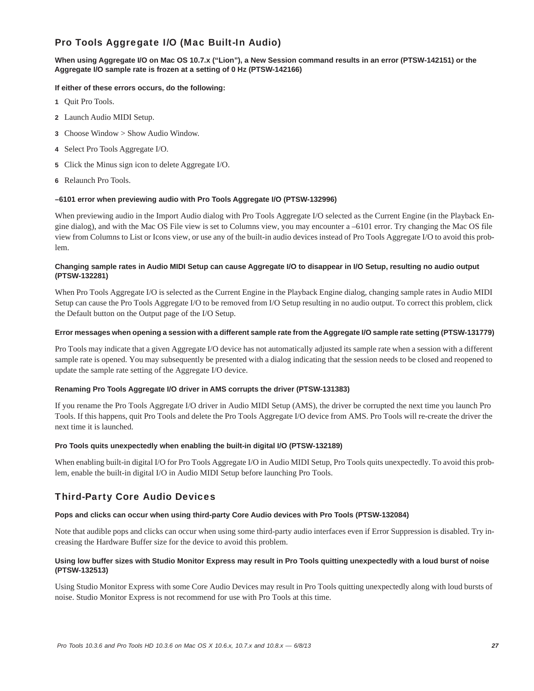# Pro Tools Aggregate I/O (Mac Built-In Audio)

#### **When using Aggregate I/O on Mac OS 10.7.x ("Lion"), a New Session command results in an error (PTSW-142151) or the Aggregate I/O sample rate is frozen at a setting of 0 Hz (PTSW-142166)**

#### **If either of these errors occurs, do the following:**

- **1** Quit Pro Tools.
- **2** Launch Audio MIDI Setup.
- **3** Choose Window > Show Audio Window.
- **4** Select Pro Tools Aggregate I/O.
- **5** Click the Minus sign icon to delete Aggregate I/O.
- **6** Relaunch Pro Tools.

#### **–6101 error when previewing audio with Pro Tools Aggregate I/O (PTSW-132996)**

When previewing audio in the Import Audio dialog with Pro Tools Aggregate I/O selected as the Current Engine (in the Playback Engine dialog), and with the Mac OS File view is set to Columns view, you may encounter a –6101 error. Try changing the Mac OS file view from Columns to List or Icons view, or use any of the built-in audio devices instead of Pro Tools Aggregate I/O to avoid this problem.

#### **Changing sample rates in Audio MIDI Setup can cause Aggregate I/O to disappear in I/O Setup, resulting no audio output (PTSW-132281)**

When Pro Tools Aggregate I/O is selected as the Current Engine in the Playback Engine dialog, changing sample rates in Audio MIDI Setup can cause the Pro Tools Aggregate I/O to be removed from I/O Setup resulting in no audio output. To correct this problem, click the Default button on the Output page of the I/O Setup.

#### **Error messages when opening a session with a different sample rate from the Aggregate I/O sample rate setting (PTSW-131779)**

Pro Tools may indicate that a given Aggregate I/O device has not automatically adjusted its sample rate when a session with a different sample rate is opened. You may subsequently be presented with a dialog indicating that the session needs to be closed and reopened to update the sample rate setting of the Aggregate I/O device.

#### **Renaming Pro Tools Aggregate I/O driver in AMS corrupts the driver (PTSW-131383)**

If you rename the Pro Tools Aggregate I/O driver in Audio MIDI Setup (AMS), the driver be corrupted the next time you launch Pro Tools. If this happens, quit Pro Tools and delete the Pro Tools Aggregate I/O device from AMS. Pro Tools will re-create the driver the next time it is launched.

#### **Pro Tools quits unexpectedly when enabling the built-in digital I/O (PTSW-132189)**

When enabling built-in digital I/O for Pro Tools Aggregate I/O in Audio MIDI Setup, Pro Tools quits unexpectedly. To avoid this problem, enable the built-in digital I/O in Audio MIDI Setup before launching Pro Tools.

# Third-Party Core Audio Devices

#### **Pops and clicks can occur when using third-party Core Audio devices with Pro Tools (PTSW-132084)**

Note that audible pops and clicks can occur when using some third-party audio interfaces even if Error Suppression is disabled. Try increasing the Hardware Buffer size for the device to avoid this problem.

#### **Using low buffer sizes with Studio Monitor Express may result in Pro Tools quitting unexpectedly with a loud burst of noise (PTSW-132513)**

Using Studio Monitor Express with some Core Audio Devices may result in Pro Tools quitting unexpectedly along with loud bursts of noise. Studio Monitor Express is not recommend for use with Pro Tools at this time.